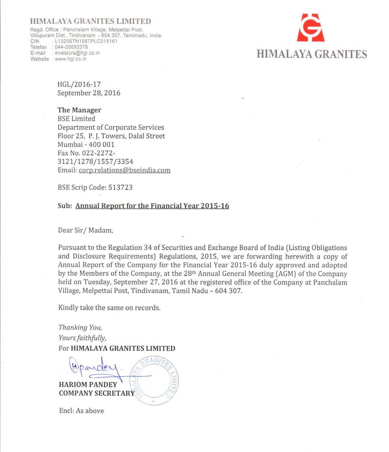#### **HIMALAYA GRANITES LIMITED**

Regd. Office : Panchalam Village, Melpettai Post, Villupuram Dist., Tindivanam - 604 307, Tamilnadu, India. CIN : L13206TN1987PLC015161 Telefax : 044-26693378 E-mail : investors@hgl.co.in Website : www.hgl.co.in



HGL/2016-17 September 28, 2016

#### The Manager

**BSE** Limited Department of Corporate Services Floor 25, P.J. Towers, Dalal Street Mumbai - 400 001 Fax No. 022-2272-3121/1278/1557/3354 Email: corp.relations@bseindia.com

BSE Scrip Code: 513723

#### Sub: Annual Report for the Financial Year 2015-16

Dear Sir/Madam,

Pursuant to the Regulation 34 of Securities and Exchange Board of India (Listing Obligations and Disclosure Requirements) Regulations, 2015, we are forwarding herewith a copy of Annual Report of the Company for the Financial Year 2015-16 duly approved and adopted by the Members of the Company, at the 28<sup>th</sup> Annual General Meeting (AGM) of the Company held on Tuesday, September 27, 2016 at the registered office of the Company at Panchalam Village, Melpettai Post, Tindivanam, Tamil Nadu - 604 307.

Kindly take the same on records.

Thanking You, Yours faithfully, For HIMALAYA GRANITES LIMITED

**HARIOM PANDEY COMPANY SECRETARY** 

Encl: As above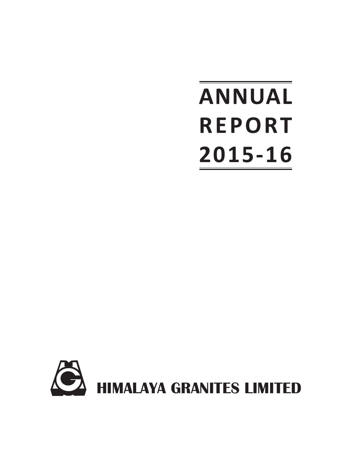# **ANNUAL REPORT 2015-16**

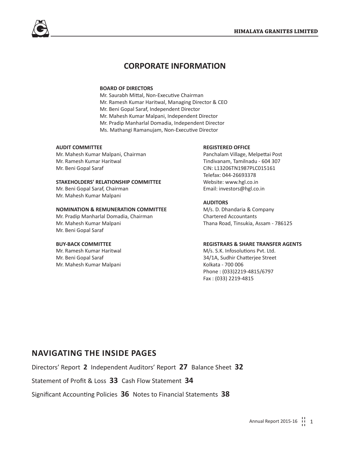# **CORPORATE INFORMATION**

#### **BOARD OF DIRECTORS**

Mr. Saurabh Mittal, Non-Executive Chairman Mr. Ramesh Kumar Haritwal, Managing Director & CEO Mr. Beni Gopal Saraf, Independent Director Mr. Mahesh Kumar Malpani, Independent Director Mr. Pradip Manharlal Domadia, Independent Director Ms. Mathangi Ramanujam, Non-Executive Director

#### **AUDIT COMMITTEE**

Mr. Mahesh Kumar Malpani, Chairman Mr. Ramesh Kumar Haritwal Mr. Beni Gopal Saraf

#### **STAKEHOLDERS' RELATIONSHIP COMMITTEE**

Mr. Beni Gopal Saraf, Chairman Mr. Mahesh Kumar Malpani

#### **NOMINATION & REMUNERATION COMMITTEE**

Mr. Pradip Manharlal Domadia, Chairman Mr. Mahesh Kumar Malpani Mr. Beni Gopal Saraf

#### **BUY-BACK COMMITTEE**

Mr. Ramesh Kumar Haritwal Mr. Beni Gopal Saraf Mr. Mahesh Kumar Malpani

#### **REGISTERED OFFICE**

Panchalam Village, Melpettai Post Tindivanam, Tamilnadu - 604 307 CIN: L13206TN1987PLC015161 Telefax: 044-26693378 Website: www.hgl.co.in Email: investors@hgl.co.in

#### **AUDITORS**

M/s. D. Dhandaria & Company Chartered Accountants Thana Road, Tinsukia, Assam - 786125

#### **REGISTRARS & SHARE TRANSFER AGENTS**

M/s. S.K. Infosolutions Pvt. Ltd. 34/1A, Sudhir Chatterjee Street Kolkata - 700 006 Phone : (033)2219-4815/6797 Fax : (033) 2219-4815

## **NAVIGATING THE INSIDE PAGES**

Directors' Report **2** Independent Auditors' Report **27** Balance Sheet **32**

Statement of Profit & Loss 33 Cash Flow Statement 34

Significant Accounting Policies 36 Notes to Financial Statements 38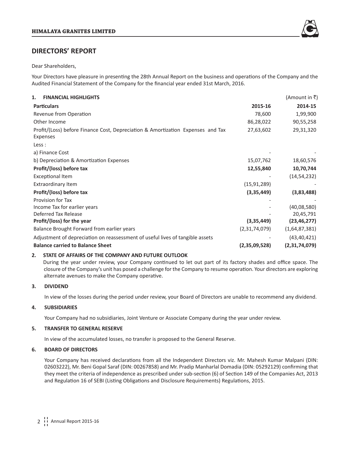

### **DIRECTORS' REPORT**

Dear Shareholders,

Your Directors have pleasure in presenting the 28th Annual Report on the business and operations of the Company and the Audited Financial Statement of the Company for the financial year ended 31st March, 2016.

| <b>FINANCIAL HIGHLIGHTS</b><br>1.                                               |               | (Amount in ₹) |
|---------------------------------------------------------------------------------|---------------|---------------|
| <b>Particulars</b>                                                              | 2015-16       | 2014-15       |
| Revenue from Operation                                                          | 78,600        | 1,99,900      |
| Other Income                                                                    | 86,28,022     | 90,55,258     |
| Profit/(Loss) before Finance Cost, Depreciation & Amortization Expenses and Tax | 27,63,602     | 29,31,320     |
| Expenses                                                                        |               |               |
| Less :                                                                          |               |               |
| a) Finance Cost                                                                 |               |               |
| b) Depreciation & Amortization Expenses                                         | 15,07,762     | 18,60,576     |
| Profit/(loss) before tax                                                        | 12,55,840     | 10,70,744     |
| <b>Exceptional Item</b>                                                         |               | (14, 54, 232) |
| <b>Extraordinary Item</b>                                                       | (15, 91, 289) |               |
| Profit/(loss) before tax                                                        | (3,35,449)    | (3,83,488)    |
| Provision for Tax                                                               |               |               |
| Income Tax for earlier years                                                    |               | (40,08,580)   |
| Deferred Tax Release                                                            |               | 20,45,791     |
| Profit/(loss) for the year                                                      | (3,35,449)    | (23, 46, 277) |
| Balance Brought Forward from earlier years                                      | (2,31,74,079) | (1,64,87,381) |
| Adjustment of depreciation on reassessment of useful lives of tangible assets   |               | (43, 40, 421) |
| <b>Balance carried to Balance Sheet</b>                                         | (2,35,09,528) | (2,31,74,079) |

#### **2. STATE OF AFFAIRS OF THE COMPANY AND FUTURE OUTLOOK**

During the year under review, your Company continued to let out part of its factory shades and office space. The closure of the Company's unit has posed a challenge for the Company to resume operation. Your directors are exploring alternate avenues to make the Company operative.

#### **3. DIVIDEND**

In view of the losses during the period under review, your Board of Directors are unable to recommend any dividend.

#### **4. SUBSIDIARIES**

Your Company had no subsidiaries, Joint Venture or Associate Company during the year under review.

#### **5. TRANSFER TO GENERAL RESERVE**

In view of the accumulated losses, no transfer is proposed to the General Reserve.

#### **6. BOARD OF DIRECTORS**

Your Company has received declarations from all the Independent Directors viz. Mr. Mahesh Kumar Malpani (DIN: 02603222), Mr. Beni Gopal Saraf (DIN: 00267858) and Mr. Pradip Manharlal Domadia (DIN: 05292129) confirming that they meet the criteria of independence as prescribed under sub-section (6) of Section 149 of the Companies Act, 2013 and Regulation 16 of SEBI (Listing Obligations and Disclosure Requirements) Regulations, 2015.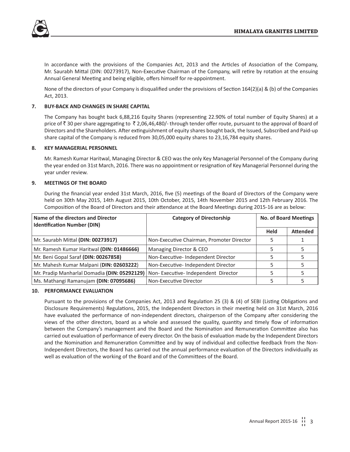

In accordance with the provisions of the Companies Act, 2013 and the Articles of Association of the Company, Mr. Saurabh Mittal (DIN: 00273917), Non-Executive Chairman of the Company, will retire by rotation at the ensuing Annual General Meeting and being eligible, offers himself for re-appointment.

None of the directors of your Company is disqualified under the provisions of Section 164(2)(a) & (b) of the Companies Act, 2013.

#### **7. BUY-BACK AND CHANGES IN SHARE CAPITAL**

The Company has bought back 6,88,216 Equity Shares (representing 22.90% of total number of Equity Shares) at a price of  $\bar{z}$  30 per share aggregating to  $\bar{z}$  2,06,46,480/- through tender offer route, pursuant to the approval of Board of Directors and the Shareholders. After extinguishment of equity shares bought back, the Issued, Subscribed and Paid-up share capital of the Company is reduced from 30,05,000 equity shares to 23,16,784 equity shares.

#### **8. KEY MANAGERIAL PERSONNEL**

Mr. Ramesh Kumar Haritwal, Managing Director & CEO was the only Key Managerial Personnel of the Company during the year ended on 31st March, 2016. There was no appointment or resignation of Key Managerial Personnel during the year under review.

#### **9. MEETINGS OF THE BOARD**

During the financial year ended 31st March, 2016, five (5) meetings of the Board of Directors of the Company were held on 30th May 2015, 14th August 2015, 10th October, 2015, 14th November 2015 and 12th February 2016. The Composition of the Board of Directors and their attendance at the Board Meetings during 2015-16 are as below:

| Name of the directors and Director<br><b>Identification Number (DIN)</b> | <b>Category of Directorship</b>           | <b>No. of Board Meetings</b> |                 |  |
|--------------------------------------------------------------------------|-------------------------------------------|------------------------------|-----------------|--|
|                                                                          |                                           | <b>Held</b>                  | <b>Attended</b> |  |
| Mr. Saurabh Mittal (DIN: 00273917)                                       | Non-Executive Chairman, Promoter Director |                              |                 |  |
| Mr. Ramesh Kumar Haritwal (DIN: 01486666)                                | Managing Director & CEO                   |                              |                 |  |
| Mr. Beni Gopal Saraf (DIN: 00267858)                                     | Non-Executive- Independent Director       |                              |                 |  |
| Mr. Mahesh Kumar Malpani (DIN: 02603222)                                 | Non-Executive- Independent Director       |                              |                 |  |
| Mr. Pradip Manharlal Domadia (DIN: 05292129)                             | Non-Executive-Independent Director        |                              |                 |  |
| Ms. Mathangi Ramanujam (DIN: 07095686)                                   | Non-Executive Director                    |                              |                 |  |

#### **10. PERFORMANCE EVALUATION**

Pursuant to the provisions of the Companies Act, 2013 and Regulation 25 (3) & (4) of SEBI (Listing Obligations and Disclosure Requirements) Regulations, 2015, the Independent Directors in their meeting held on 31st March, 2016 have evaluated the performance of non-independent directors, chairperson of the Company after considering the views of the other directors, board as a whole and assessed the quality, quantity and timely flow of information between the Company's management and the Board and the Nomination and Remuneration Committee also has carried out evaluation of performance of every director. On the basis of evaluation made by the Independent Directors and the Nomination and Remuneration Committee and by way of individual and collective feedback from the Non-Independent Directors, the Board has carried out the annual performance evaluation of the Directors individually as well as evaluation of the working of the Board and of the Committees of the Board.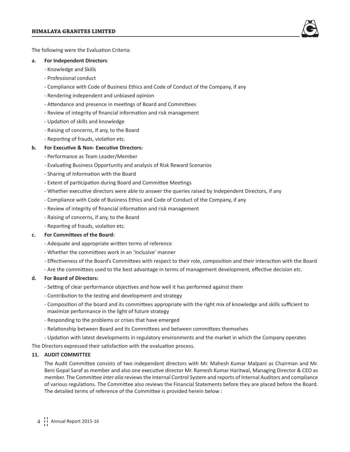

The following were the Evaluation Criteria:

#### **a. For Independent Directors**:

- Knowledge and Skills
- Professional conduct
- Compliance with Code of Business Ethics and Code of Conduct of the Company, if any
- Rendering independent and unbiased opinion
- Attendance and presence in meetings of Board and Committees
- Review of integrity of financial information and risk management
- Updation of skills and knowledge
- Raising of concerns, if any, to the Board
- Reporting of frauds, violation etc.

#### **b. For ExecuƟve & Non- ExecuƟve Directors:**

- Performance as Team Leader/Member
- Evaluating Business Opportunity and analysis of Risk Reward Scenarios
- Sharing of Information with the Board
- Extent of participation during Board and Committee Meetings
- Whether executive directors were able to answer the queries raised by Independent Directors, if any
- Compliance with Code of Business Ethics and Code of Conduct of the Company, if any
- Review of integrity of financial information and risk management
- Raising of concerns, if any, to the Board
- Reporting of frauds, violation etc.

#### **c. For CommiƩees of the Board:**

- Adequate and appropriate written terms of reference
- Whether the commiƩees work in an 'inclusive' manner
- Effectiveness of the Board's Committees with respect to their role, composition and their interaction with the Board
- Are the committees used to the best advantage in terms of management development, effective decision etc.

#### **d. For Board of Directors:**

- Setting of clear performance objectives and how well it has performed against them
- Contribution to the testing and development and strategy
- Composition of the board and its committees appropriate with the right mix of knowledge and skills sufficient to maximize performance in the light of future strategy
- Responding to the problems or crises that have emerged
- Relationship between Board and its Committees and between committees themselves
- Updation with latest developments in regulatory environments and the market in which the Company operates

The Directors expressed their satisfaction with the evaluation process.

#### **11. AUDIT COMMITTEE**

The Audit Committee consists of two independent directors with Mr. Mahesh Kumar Malpani as Chairman and Mr. Beni Gopal Saraf as member and also one executive director Mr. Ramesh Kumar Haritwal, Managing Director & CEO as member. The Committee *inter alia* reviews the Internal Control System and reports of Internal Auditors and compliance of various regulations. The Committee also reviews the Financial Statements before they are placed before the Board. The detailed terms of reference of the Committee is provided herein below :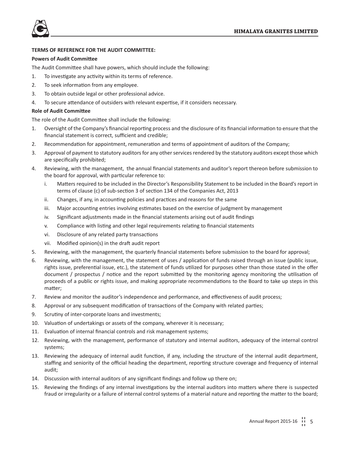

#### **TERMS OF REFERENCE FOR THE AUDIT COMMITTEE:**

#### **Powers of Audit Committee**

The Audit Committee shall have powers, which should include the following:

- 1. To investigate any activity within its terms of reference.
- 2. To seek information from any employee.
- 3. To obtain outside legal or other professional advice.
- 4. To secure attendance of outsiders with relevant expertise, if it considers necessary.

#### **Role of Audit Committee**

The role of the Audit Committee shall include the following:

- 1. Oversight of the Company's financial reporting process and the disclosure of its financial information to ensure that the financial statement is correct, sufficient and credible;
- 2. Recommendation for appointment, remuneration and terms of appointment of auditors of the Company;
- 3. Approval of payment to statutory auditors for any other services rendered by the statutory auditors except those which are specifically prohibited;
- 4. Reviewing, with the management, the annual financial statements and auditor's report thereon before submission to the board for approval, with particular reference to:
	- i. Matters required to be included in the Director's Responsibility Statement to be included in the Board's report in terms of clause (c) of sub-section 3 of section 134 of the Companies Act, 2013
	- ii. Changes, if any, in accounting policies and practices and reasons for the same
	- iii. Major accounting entries involving estimates based on the exercise of judgment by management
	- iv. Significant adjustments made in the financial statements arising out of audit findings
	- v. Compliance with listing and other legal requirements relating to financial statements
	- vi. Disclosure of any related party transactions
	- vii. Modified opinion(s) in the draft audit report
- 5. Reviewing, with the management, the quarterly financial statements before submission to the board for approval;
- 6. Reviewing, with the management, the statement of uses / application of funds raised through an issue (public issue, rights issue, preferential issue, etc.), the statement of funds utilized for purposes other than those stated in the offer document / prospectus / notice and the report submitted by the monitoring agency monitoring the utilisation of proceeds of a public or rights issue, and making appropriate recommendations to the Board to take up steps in this matter;
- 7. Review and monitor the auditor's independence and performance, and effectiveness of audit process;
- 8. Approval or any subsequent modification of transactions of the Company with related parties;
- 9. Scrutiny of inter-corporate loans and investments;
- 10. Valuation of undertakings or assets of the company, wherever it is necessary;
- 11. Evaluation of internal financial controls and risk management systems;
- 12. Reviewing, with the management, performance of statutory and internal auditors, adequacy of the internal control systems;
- 13. Reviewing the adequacy of internal audit function, if any, including the structure of the internal audit department, staffing and seniority of the official heading the department, reporting structure coverage and frequency of internal audit;
- 14. Discussion with internal auditors of any significant findings and follow up there on;
- 15. Reviewing the findings of any internal investigations by the internal auditors into matters where there is suspected fraud or irregularity or a failure of internal control systems of a material nature and reporting the matter to the board;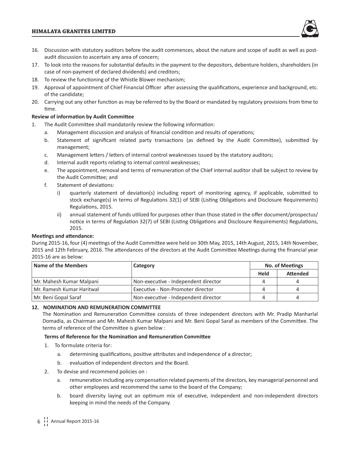#### **HIMALAYA GRANITES LIMITED**

- 16. Discussion with statutory auditors before the audit commences, about the nature and scope of audit as well as postaudit discussion to ascertain any area of concern;
- 17. To look into the reasons for substantial defaults in the payment to the depositors, debenture holders, shareholders (in case of non-payment of declared dividends) and creditors;
- 18. To review the functioning of the Whistle Blower mechanism;
- 19. Approval of appointment of Chief Financial Officer after assessing the qualifications, experience and background, etc. of the candidate;
- 20. Carrying out any other function as may be referred to by the Board or mandated by regulatory provisions from time to time.

#### **Review of informaƟon by Audit CommiƩee**

- 1. The Audit Committee shall mandatorily review the following information:
	- a. Management discussion and analysis of financial condition and results of operations;
	- b. Statement of significant related party transactions (as defined by the Audit Committee), submitted by management;
	- c. Management letters / letters of internal control weaknesses issued by the statutory auditors;
	- d. Internal audit reports relating to internal control weaknesses;
	- e. The appointment, removal and terms of remuneration of the Chief internal auditor shall be subject to review by the Audit CommiƩee; and
	- f. Statement of deviations:
		- i) quarterly statement of deviation(s) including report of monitoring agency, if applicable, submitted to stock exchange(s) in terms of Regulations 32(1) of SEBI (Listing Obligations and Disclosure Requirements) Regulations, 2015.
		- ii) annual statement of funds utilized for purposes other than those stated in the offer document/prospectus/ notice in terms of Regulation 32(7) of SEBI (Listing Obligations and Disclosure Requirements) Regulations, 2015.

#### **Meetings and attendance:**

During 2015-16, four (4) meetings of the Audit Committee were held on 30th May, 2015, 14th August, 2015, 14th November, 2015 and 12th February, 2016. The attendances of the directors at the Audit Committee Meetings during the financial year 2015-16 are as below:

| Name of the Members<br>Category |                                      | <b>No. of Meetings</b> |                 |
|---------------------------------|--------------------------------------|------------------------|-----------------|
|                                 |                                      | Held                   | <b>Attended</b> |
| Mr. Mahesh Kumar Malpani        | Non-executive - Independent director |                        |                 |
| Mr. Ramesh Kumar Haritwal       | Executive - Non-Promoter director    |                        |                 |
| Mr. Beni Gopal Saraf            | Non-executive - Independent director |                        |                 |

#### **12. NOMINATION AND REMUNERATION COMMITTEE**

The Nomination and Remuneration Committee consists of three independent directors with Mr. Pradip Manharlal Domadia, as Chairman and Mr. Mahesh Kumar Malpani and Mr. Beni Gopal Saraf as members of the Committee. The terms of reference of the Committee is given below :

#### **Terms of Reference for the NominaƟon and RemuneraƟon CommiƩee**

- 1. To formulate criteria for:
	- a. determining qualifications, positive attributes and independence of a director;
	- b. evaluation of independent directors and the Board.
- 2. To devise and recommend policies on :
	- a. remuneration including any compensation related payments of the directors, key managerial personnel and other employees and recommend the same to the board of the Company;
	- b. board diversity laying out an optimum mix of executive, independent and non-independent directors keeping in mind the needs of the Company.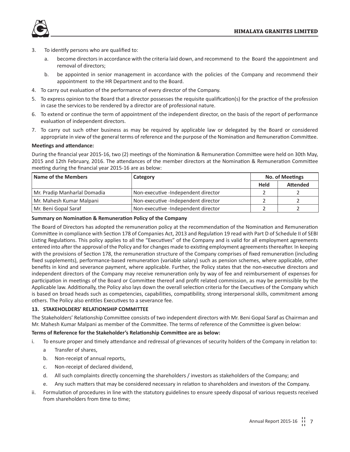

- 3. To identify persons who are qualified to:
	- a. become directors in accordance with the criteria laid down, and recommend to the Board the appointment and removal of directors;
	- b. be appointed in senior management in accordance with the policies of the Company and recommend their appointment to the HR Department and to the Board.
- 4. To carry out evaluation of the performance of every director of the Company.
- 5. To express opinion to the Board that a director possesses the requisite qualification(s) for the practice of the profession in case the services to be rendered by a director are of professional nature.
- 6. To extend or continue the term of appointment of the independent director, on the basis of the report of performance evaluation of independent directors.
- 7. To carry out such other business as may be required by applicable law or delegated by the Board or considered appropriate in view of the general terms of reference and the purpose of the Nomination and Remuneration Committee.

#### **Meetings and attendance:**

During the financial year 2015-16, two (2) meetings of the Nomination & Remuneration Committee were held on 30th May, 2015 and 12th February, 2016. The attendances of the member directors at the Nomination & Remuneration Committee meeting during the financial year 2015-16 are as below:

| Name of the Members          | Category                            |      | <b>No. of Meetings</b> |  |  |
|------------------------------|-------------------------------------|------|------------------------|--|--|
|                              |                                     | Held | <b>Attended</b>        |  |  |
| Mr. Pradip Manharlal Domadia | Non-executive -Independent director |      |                        |  |  |
| Mr. Mahesh Kumar Malpani     | Non-executive -Independent director |      |                        |  |  |
| Mr. Beni Gopal Saraf         | Non-executive -Independent director |      |                        |  |  |

#### **Summary on NominaƟon & RemuneraƟon Policy of the Company**

The Board of Directors has adopted the remuneration policy at the recommendation of the Nomination and Remuneration Committee in compliance with Section 178 of Companies Act, 2013 and Regulation 19 read with Part D of Schedule II of SEBI Listing Regulations. This policy applies to all the "Executives" of the Company and is valid for all employment agreements entered into after the approval of the Policy and for changes made to existing employment agreements thereafter. In keeping with the provisions of Section 178, the remuneration structure of the Company comprises of fixed remuneration (including fixed supplements), performance-based remuneration (variable salary) such as pension schemes, where applicable, other benefits in kind and severance payment, where applicable. Further, the Policy states that the non-executive directors and independent directors of the Company may receive remuneration only by way of fee and reimbursement of expenses for participation in meetings of the Board or Committee thereof and profit related commission, as may be permissible by the Applicable law. Additionally, the Policy also lays down the overall selection criteria for the Executives of the Company which is based on broad heads such as competencies, capabilities, compatibility, strong interpersonal skills, commitment among others. The Policy also entitles Executives to a severance fee.

#### **13. STAKEHOLDERS' RELATIONSHIP COMMITTEE**

The Stakeholders' Relationship Committee consists of two independent directors with Mr. Beni Gopal Saraf as Chairman and Mr. Mahesh Kumar Malpani as member of the Committee. The terms of reference of the Committee is given below:

#### **Terms of Reference for the Stakeholder's Relationship Committee are as below:**

- i. To ensure proper and timely attendance and redressal of grievances of security holders of the Company in relation to:
	- a Transfer of shares,
	- b. Non-receipt of annual reports,
	- c. Non-receipt of declared dividend,
	- d. All such complaints directly concerning the shareholders / investors as stakeholders of the Company; and
	- e. Any such matters that may be considered necessary in relation to shareholders and investors of the Company.
- ii. Formulation of procedures in line with the statutory guidelines to ensure speedy disposal of various requests received from shareholders from time to time;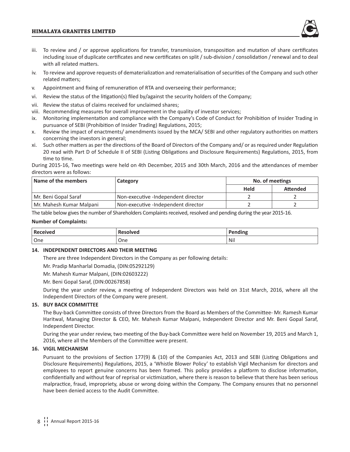

- iv. To review and approve requests of dematerialization and rematerialisation of securities of the Company and such other related matters:
- v. Appointment and fixing of remuneration of RTA and overseeing their performance;
- vi. Review the status of the litigation(s) filed by/against the security holders of the Company;
- vii. Review the status of claims received for unclaimed shares;
- viii. Recommending measures for overall improvement in the quality of investor services;
- ix. Monitoring implementation and compliance with the Company's Code of Conduct for Prohibition of Insider Trading in pursuance of SEBI (Prohibition of Insider Trading) Regulations, 2015;
- x. Review the impact of enactments/ amendments issued by the MCA/ SEBI and other regulatory authorities on matters concerning the investors in general;
- xi. Such other matters as per the directions of the Board of Directors of the Company and/ or as required under Regulation 20 read with Part D of Schedule II of SEBI (Listing Obligations and Disclosure Requirements) Regulations, 2015, from time to time.

During 2015-16, Two meetings were held on 4th December, 2015 and 30th March, 2016 and the attendances of member directors were as follows:

| Name of the members      | Category                            | No. of meetings |                 |
|--------------------------|-------------------------------------|-----------------|-----------------|
|                          |                                     | Held            | <b>Attended</b> |
| Mr. Beni Gopal Saraf     | Non-executive -Independent director |                 |                 |
| Mr. Mahesh Kumar Malpani | Non-executive -Independent director |                 |                 |

The table below gives the number of Shareholders Complaints received, resolved and pending during the year 2015-16.

#### **Number of Complaints:**

| <b>Received</b><br>. | cu  | Danalisa a<br>_____ |
|----------------------|-----|---------------------|
| One                  | One | Nil                 |

#### **14. INDEPENDENT DIRECTORS AND THEIR MEETING**

There are three Independent Directors in the Company as per following details:

Mr. Pradip Manharlal Domadia, (DIN:05292129)

Mr. Mahesh Kumar Malpani, (DIN:02603222)

Mr. Beni Gopal Saraf, (DIN:00267858)

During the year under review, a meeting of Independent Directors was held on 31st March, 2016, where all the Independent Directors of the Company were present.

#### **15. BUY BACK COMMITTEE**

The Buy-back CommiƩee consists of three Directors from the Board as Members of the CommiƩee- Mr. Ramesh Kumar Haritwal, Managing Director & CEO, Mr. Mahesh Kumar Malpani, Independent Director and Mr. Beni Gopal Saraf, Independent Director.

During the year under review, two meeting of the Buy-back Committee were held on November 19, 2015 and March 1, 2016, where all the Members of the Committee were present.

#### **16. VIGIL MECHANISM**

Pursuant to the provisions of Section 177(9) & (10) of the Companies Act, 2013 and SEBI (Listing Obligations and Disclosure Requirements) Regulations, 2015, a 'Whistle Blower Policy' to establish Vigil Mechanism for directors and employees to report genuine concerns has been framed. This policy provides a platform to disclose information, confidentially and without fear of reprisal or victimization, where there is reason to believe that there has been serious malpractice, fraud, impropriety, abuse or wrong doing within the Company. The Company ensures that no personnel have been denied access to the Audit Committee.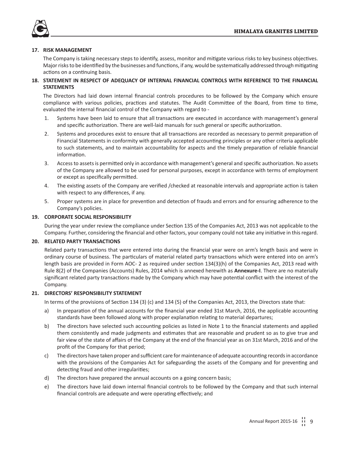

#### **17. RISK MANAGEMENT**

The Company is taking necessary steps to identify, assess, monitor and mitigate various risks to key business objectives. Major risks to be identified by the businesses and functions, if any, would be systematically addressed through mitigating actions on a continuing basis.

#### **18. STATEMENT IN RESPECT OF ADEQUACY OF INTERNAL FINANCIAL CONTROLS WITH REFERENCE TO THE FINANCIAL STATEMENTS**

The Directors had laid down internal financial controls procedures to be followed by the Company which ensure compliance with various policies, practices and statutes. The Audit Committee of the Board, from time to time, evaluated the internal financial control of the Company with regard to -

- 1. Systems have been laid to ensure that all transactions are executed in accordance with management's general and specific authorization. There are well-laid manuals for such general or specific authorization.
- 2. Systems and procedures exist to ensure that all transactions are recorded as necessary to permit preparation of Financial Statements in conformity with generally accepted accounting principles or any other criteria applicable to such statements, and to maintain accountability for aspects and the timely preparation of reliable financial information.
- 3. Access to assets is permitted only in accordance with management's general and specific authorization. No assets of the Company are allowed to be used for personal purposes, except in accordance with terms of employment or except as specifically permitted.
- 4. The existing assets of the Company are verified /checked at reasonable intervals and appropriate action is taken with respect to any differences, if any.
- 5. Proper systems are in place for prevention and detection of frauds and errors and for ensuring adherence to the Company's policies.

#### **19. CORPORATE SOCIAL RESPONSIBILITY**

During the year under review the compliance under Section 135 of the Companies Act, 2013 was not applicable to the Company. Further, considering the financial and other factors, your company could not take any initiative in this regard.

#### **20. RELATED PARTY TRANSACTIONS**

Related party transactions that were entered into during the financial year were on arm's length basis and were in ordinary course of business. The particulars of material related party transactions which were entered into on arm's length basis are provided in Form AOC- 2 as required under section 134(3)(h) of the Companies Act, 2013 read with Rule 8(2) of the Companies (Accounts) Rules, 2014 which is annexed herewith as **Annexure-I**. There are no materially significant related party transactions made by the Company which may have potential conflict with the interest of the Company.

#### **21. DIRECTORS' RESPONSIBILITY STATEMENT**

In terms of the provisions of Section 134 (3) (c) and 134 (5) of the Companies Act, 2013, the Directors state that:

- a) In preparation of the annual accounts for the financial year ended 31st March, 2016, the applicable accounting standards have been followed along with proper explanation relating to material departures;
- b) The directors have selected such accounting policies as listed in Note 1 to the financial statements and applied them consistently and made judgments and estimates that are reasonable and prudent so as to give true and fair view of the state of affairs of the Company at the end of the financial year as on 31st March, 2016 and of the profit of the Company for that period;
- c) The directors have taken proper and sufficient care for maintenance of adequate accounting records in accordance with the provisions of the Companies Act for safeguarding the assets of the Company and for preventing and detecting fraud and other irregularities;
- d) The directors have prepared the annual accounts on a going concern basis;
- e) The directors have laid down internal financial controls to be followed by the Company and that such internal financial controls are adequate and were operating effectively; and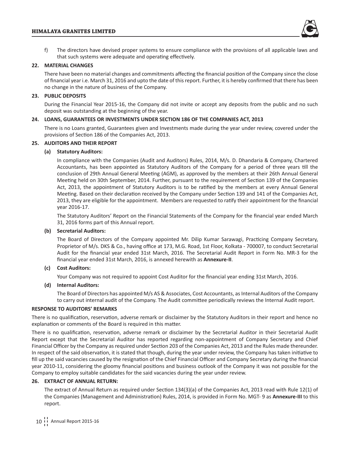#### **HIMALAYA GRANITES LIMITED**

 f) The directors have devised proper systems to ensure compliance with the provisions of all applicable laws and that such systems were adequate and operating effectively.

#### **22. MATERIAL CHANGES**

There have been no material changes and commitments affecting the financial position of the Company since the close of financial year i.e. March 31, 2016 and upto the date of this report. Further, it is hereby confirmed that there has been no change in the nature of business of the Company.

#### **23. PUBLIC DEPOSITS**

 During the Financial Year 2015-16, the Company did not invite or accept any deposits from the public and no such deposit was outstanding at the beginning of the year.

#### **24. LOANS, GUARANTEES OR INVESTMENTS UNDER SECTION 186 OF THE COMPANIES ACT, 2013**

There is no Loans granted, Guarantees given and Investments made during the year under review, covered under the provisions of Section 186 of the Companies Act, 2013.

#### **25. AUDITORS AND THEIR REPORT**

#### **(a) Statutory Auditors:**

In compliance with the Companies (Audit and Auditors) Rules, 2014, M/s. D. Dhandaria & Company, Chartered Accountants, has been appointed as Statutory Auditors of the Company for a period of three years till the conclusion of 29th Annual General Meeting (AGM), as approved by the members at their 26th Annual General Meeting held on 30th September, 2014. Further, pursuant to the requirement of Section 139 of the Companies Act, 2013, the appointment of Statutory Auditors is to be ratified by the members at every Annual General Meeting. Based on their declaration received by the Company under Section 139 and 141 of the Companies Act, 2013, they are eligible for the appointment. Members are requested to ratify their appointment for the financial year 2016-17.

The Statutory Auditors' Report on the Financial Statements of the Company for the financial year ended March 31, 2016 forms part of this Annual report.

#### **(b) Secretarial Auditors:**

The Board of Directors of the Company appointed Mr. Dilip Kumar Sarawagi, Practicing Company Secretary, Proprietor of M/s. DKS & Co., having office at 173, M.G. Road, 1st Floor, Kolkata - 700007, to conduct Secretarial Audit for the financial year ended 31st March, 2016. The Secretarial Audit Report in Form No. MR-3 for the financial year ended 31st March, 2016, is annexed herewith as Annexure-II.

#### **(c) Cost Auditors:**

Your Company was not required to appoint Cost Auditor for the financial year ending 31st March, 2016.

#### **(d) Internal Auditors:**

The Board of Directors has appointed M/s AS & Associates, Cost Accountants, as Internal Auditors of the Company to carry out internal audit of the Company. The Audit committee periodically reviews the Internal Audit report.

#### **RESPONSE TO AUDITORS' REMARKS**

There is no qualification, reservation, adverse remark or disclaimer by the Statutory Auditors in their report and hence no explanation or comments of the Board is required in this matter.

There is no qualification, reservation, adverse remark or disclaimer by the Secretarial Auditor in their Secretarial Audit Report except that the Secretarial Auditor has reported regarding non-appointment of Company Secretary and Chief Financial Officer by the Company as required under Section 203 of the Companies Act, 2013 and the Rules made thereunder. In respect of the said observation, it is stated that though, during the year under review, the Company has taken initiative to fill up the said vacancies caused by the resignation of the Chief Financial Officer and Company Secretary during the financial year 2010-11, considering the gloomy financial positions and business outlook of the Company it was not possible for the Company to employ suitable candidates for the said vacancies during the year under review.

#### **26. EXTRACT OF ANNUAL RETURN:**

The extract of Annual Return as required under Section 134(3)(a) of the Companies Act, 2013 read with Rule 12(1) of the Companies (Management and Administration) Rules, 2014, is provided in Form No. MGT- 9 as **Annexure-III** to this report.

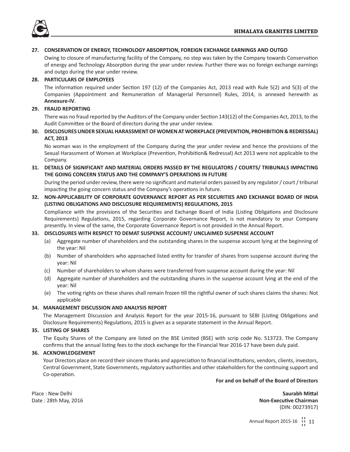

#### **27. CONSERVATION OF ENERGY, TECHNOLOGY ABSORPTION, FOREIGN EXCHANGE EARNINGS AND OUTGO**

Owing to closure of manufacturing facility of the Company, no step was taken by the Company towards Conservation of energy and Technology Absorption during the year under review. Further there was no foreign exchange earnings and outgo during the year under review.

#### **28. PARTICULARS OF EMPLOYEES**

The information required under Section 197 (12) of the Companies Act, 2013 read with Rule 5(2) and 5(3) of the Companies (Appointment and Remuneration of Managerial Personnel) Rules, 2014, is annexed herewith as **Annexure-IV**.

#### **29. FRAUD REPORTING**

There was no fraud reported by the Auditors of the Company under Section 143(12) of the Companies Act, 2013, to the Audit Committee or the Board of directors during the year under review.

#### **30. DISCLOSURES UNDER SEXUAL HARASSMENT OF WOMEN AT WORKPLACE (PREVENTION, PROHIBITION & REDRESSAL) ACT, 2013**

No woman was in the employment of the Company during the year under review and hence the provisions of the Sexual Harassment of Women at Workplace (Prevention, Prohibition& Redressal) Act 2013 were not applicable to the Company.

**31. DETAILS OF SIGNIFICANT AND MATERIAL ORDERS PASSED BY THE REGULATORS / COURTS/ TRIBUNALS IMPACTING THE GOING CONCERN STATUS AND THE COMPANY'S OPERATIONS IN FUTURE**

During the period under review, there were no significant and material orders passed by any regulator / court / tribunal impacting the going concern status and the Company's operations in future.

#### **32. NON-APPLICABILITY OF CORPORATE GOVERNANCE REPORT AS PER SECURITIES AND EXCHANGE BOARD OF INDIA (LISTING OBLIGATIONS AND DISCLOSURE REQUIREMENTS) REGULATIONS, 2015**

Compliance with the provisions of the Securities and Exchange Board of India (Listing Obligations and Disclosure Requirements) Regulations, 2015, regarding Corporate Governance Report, is not mandatory to your Company presently. In view of the same, the Corporate Governance Report is not provided in the Annual Report.

#### **33. DISCLOSURES WITH RESPECT TO DEMAT SUSPENSE ACCOUNT/ UNCLAIMED SUSPENSE ACCOUNT**

- (a) Aggregate number of shareholders and the outstanding shares in the suspense account lying at the beginning of the year: Nil
- (b) Number of shareholders who approached listed entity for transfer of shares from suspense account during the year: Nil
- (c) Number of shareholders to whom shares were transferred from suspense account during the year: Nil
- (d) Aggregate number of shareholders and the outstanding shares in the suspense account lying at the end of the year: Nil
- (e) The voting rights on these shares shall remain frozen till the rightful owner of such shares claims the shares: Not applicable

#### **34. MANAGEMENT DISCUSSION AND ANALYSIS REPORT**

The Management Discussion and Analysis Report for the year 2015-16, pursuant to SEBI (Listing Obligations and Disclosure Requirements) Regulations, 2015 is given as a separate statement in the Annual Report.

#### **35. LISTING OF SHARES**

 The Equity Shares of the Company are listed on the BSE Limited (BSE) with scrip code No. 513723. The Company confirms that the annual listing fees to the stock exchange for the Financial Year 2016-17 have been duly paid.

#### **36. ACKNOWLEDGEMENT**

Your Directors place on record their sincere thanks and appreciation to financial institutions, vendors, clients, investors, Central Government, State Governments, regulatory authorities and other stakeholders for the continuing support and Co-operation.

 **For and on behalf of the Board of Directors**

Place : New Delhi **Saurabh Mittal** Date : 28th May, 2016 **No. 2016 No. 2018 Non-Executive Chairman** (DIN: 00273917)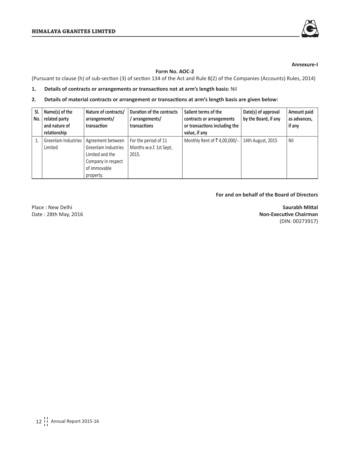

#### **Annexure-I**

#### **Form No. AOC-2**

(Pursuant to clause (h) of sub-section (3) of section 134 of the Act and Rule 8(2) of the Companies (Accounts) Rules, 2014)

#### 1. Details of contracts or arrangements or transactions not at arm's length basis: Nil

#### **2.** Details of material contracts or arrangement or transactions at arm's length basis are given below:

| SI.<br>No. | Name(s) of the<br>related party<br>and nature of<br>relationship | Nature of contracts/<br>arrangements/<br>transaction                                                           | <b>Duration of the contracts</b><br>arrangements/<br>transactions | Salient terms of the<br>contracts or arrangements<br>or transactions including the<br>value, if any | Date(s) of approval<br>by the Board, if any | Amount paid<br>as advances,<br>if any |
|------------|------------------------------------------------------------------|----------------------------------------------------------------------------------------------------------------|-------------------------------------------------------------------|-----------------------------------------------------------------------------------------------------|---------------------------------------------|---------------------------------------|
|            | Greenlam Industries<br>Limited                                   | Agreement between<br>Greenlam Industries<br>Limited and the<br>Company in respect<br>of immovable<br>property. | For the period of 11<br>Months w.e.f. 1st Sept,<br>2015.          | Monthly Rent of ₹4,00,000/-.                                                                        | 14th August, 2015                           | Nil                                   |

#### **For and on behalf of the Board of Directors**

Place : New Delhi **Saurabh Mittal** Date : 28th May, 2016 **Non-Executive Chairman** (DIN: 00273917)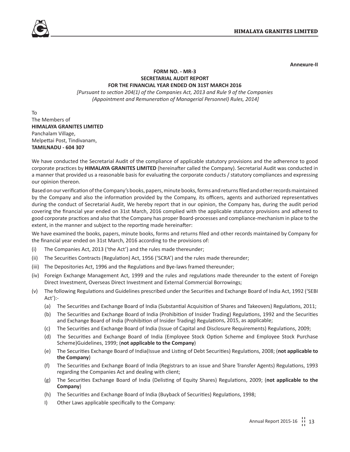

**Annexure-II**

#### **FORM NO. - MR-3 SECRETARIAL AUDIT REPORT FOR THE FINANCIAL YEAR ENDED ON 31ST MARCH 2016**

*[Pursuant to secƟon 204(1) of the Companies Act, 2013 and Rule 9 of the Companies (Appointment and RemuneraƟon of Managerial Personnel) Rules, 2014]*

To The Members of **HIMALAYA GRANITES LIMITED** Panchalam Village, Melpettai Post, Tindivanam, **TAMILNADU - 604 307**

We have conducted the Secretarial Audit of the compliance of applicable statutory provisions and the adherence to good corporate practices by **HIMALAYA GRANITES LIMITED** (hereinafter called the Company). Secretarial Audit was conducted in a manner that provided us a reasonable basis for evaluating the corporate conducts / statutory compliances and expressing our opinion thereon.

Based on our verification of the Company's books, papers, minute books, forms and returns filed and other records maintained by the Company and also the information provided by the Company, its officers, agents and authorized representatives during the conduct of Secretarial Audit, We hereby report that in our opinion, the Company has, during the audit period covering the financial year ended on 31st March, 2016 complied with the applicable statutory provisions and adhered to good corporate practices and also that the Company has proper Board-processes and compliance-mechanism in place to the extent, in the manner and subject to the reporting made hereinafter:

We have examined the books, papers, minute books, forms and returns filed and other records maintained by Company for the financial year ended on 31st March, 2016 according to the provisions of:

- (i) The Companies Act, 2013 ('the Act') and the rules made thereunder;
- (ii) The Securities Contracts (Regulation) Act, 1956 ('SCRA') and the rules made thereunder;
- (iii) The Depositories Act, 1996 and the Regulations and Bye-laws framed thereunder;
- (iv) Foreign Exchange Management Act, 1999 and the rules and regulations made thereunder to the extent of Foreign Direct Investment, Overseas Direct Investment and External Commercial Borrowings;
- (v) The following Regulations and Guidelines prescribed under the Securities and Exchange Board of India Act, 1992 ('SEBI Act'):-
	- (a) The Securities and Exchange Board of India (Substantial Acquisition of Shares and Takeovers) Regulations, 2011;
	- (b) The Securities and Exchange Board of India (Prohibition of Insider Trading) Regulations, 1992 and the Securities and Exchange Board of India (Prohibition of Insider Trading) Regulations, 2015, as applicable;
	- (c) The Securities and Exchange Board of India (Issue of Capital and Disclosure Requirements) Regulations, 2009;
	- (d) The Securities and Exchange Board of India (Employee Stock Option Scheme and Employee Stock Purchase Scheme)Guidelines, 1999; (**not applicable to the Company**)
	- (e) The Securities Exchange Board of India(Issue and Listing of Debt Securities) Regulations, 2008; (not applicable to **the Company**)
	- (f) The Securities and Exchange Board of India (Registrars to an issue and Share Transfer Agents) Regulations, 1993 regarding the Companies Act and dealing with client;
	- (g) The Securities Exchange Board of India (Delisting of Equity Shares) Regulations, 2009; (not applicable to the **Company**)
	- (h) The Securities and Exchange Board of India (Buyback of Securities) Regulations, 1998;
	- I) Other Laws applicable specifically to the Company: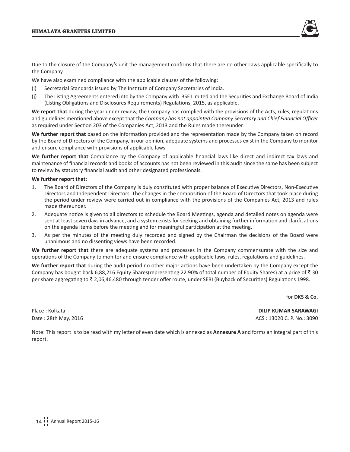Due to the closure of the Company's unit the management confirms that there are no other Laws applicable specifically to the Company.

We have also examined compliance with the applicable clauses of the following:

- (i) Secretarial Standards issued by The Institute of Company Secretaries of India.
- (i) The Listing Agreements entered into by the Company with BSE Limited and the Securities and Exchange Board of India (Listing Obligations and Disclosures Requirements) Regulations, 2015, as applicable.

We report that during the year under review, the Company has complied with the provisions of the Acts, rules, regulations and guidelines mentioned above except that the Company has not appointed Company Secretary and Chief Financial Officer as required under Section 203 of the Companies Act, 2013 and the Rules made thereunder.

We further report that based on the information provided and the representation made by the Company taken on record by the Board of Directors of the Company, in our opinion, adequate systems and processes exist in the Company to monitor and ensure compliance with provisions of applicable laws.

We further report that Compliance by the Company of applicable financial laws like direct and indirect tax laws and maintenance of financial records and books of accounts has not been reviewed in this audit since the same has been subject to review by statutory financial audit and other designated professionals.

**We further report that:**

- 1. The Board of Directors of the Company is duly constituted with proper balance of Executive Directors, Non-Executive Directors and Independent Directors. The changes in the composition of the Board of Directors that took place during the period under review were carried out in compliance with the provisions of the Companies Act, 2013 and rules made thereunder.
- 2. Adequate notice is given to all directors to schedule the Board Meetings, agenda and detailed notes on agenda were sent at least seven days in advance, and a system exists for seeking and obtaining further information and clarifications on the agenda items before the meeting and for meaningful participation at the meeting.
- 3. As per the minutes of the meeting duly recorded and signed by the Chairman the decisions of the Board were unanimous and no dissenting views have been recorded.

**We further report that** there are adequate systems and processes in the Company commensurate with the size and operations of the Company to monitor and ensure compliance with applicable laws, rules, regulations and guidelines.

We further report that during the audit period no other major actions have been undertaken by the Company except the Company has bought back 6,88,216 Equity Shares(representing 22.90% of total number of Equity Shares) at a price of  $\bar{z}$  30 per share aggregating to ₹ 2,06,46,480 through tender offer route, under SEBI (Buyback of Securities) Regulations 1998.

for **DKS & Co.**

Place : Kolkata **DILIP KUMAR SARAWAGI** Date : 28th May, 2016 ACS : 13020 C. P. No.: 3090

Note: This report is to be read with my letter of even date which is annexed as Annexure A and forms an integral part of this report.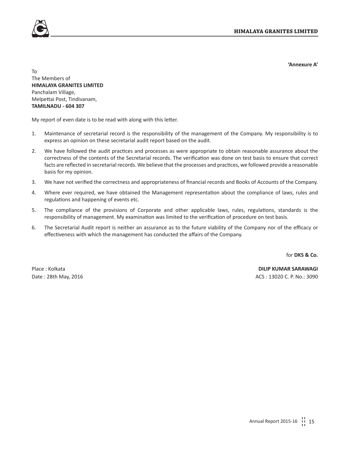

**'Annexure A'**

To The Members of **HIMALAYA GRANITES LIMITED** Panchalam Village, Melpettai Post, Tindivanam, **TAMILNADU - 604 307**

My report of even date is to be read with along with this letter.

- 1. Maintenance of secretarial record is the responsibility of the management of the Company. My responsibility is to express an opinion on these secretarial audit report based on the audit.
- 2. We have followed the audit practices and processes as were appropriate to obtain reasonable assurance about the correctness of the contents of the Secretarial records. The verification was done on test basis to ensure that correct facts are reflected in secretarial records. We believe that the processes and practices, we followed provide a reasonable basis for my opinion.
- 3. We have not verified the correctness and appropriateness of financial records and Books of Accounts of the Company.
- 4. Where ever required, we have obtained the Management representation about the compliance of laws, rules and regulations and happening of events etc.
- 5. The compliance of the provisions of Corporate and other applicable laws, rules, regulations, standards is the responsibility of management. My examination was limited to the verification of procedure on test basis.
- 6. The Secretarial Audit report is neither an assurance as to the future viability of the Company nor of the efficacy or effectiveness with which the management has conducted the affairs of the Company.

for **DKS & Co.**

Place : Kolkata **DILIP KUMAR SARAWAGI** Date : 28th May, 2016 **ACS** : 13020 C. P. No.: 3090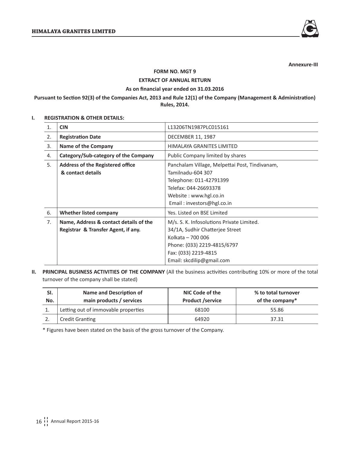

**Annexure-III**

#### **FORM NO. MGT 9**

**EXTRACT OF ANNUAL RETURN**

#### As on financial year ended on 31.03.2016

Pursuant to Section 92(3) of the Companies Act, 2013 and Rule 12(1) of the Company (Management & Administration) **Rules, 2014.**

#### **I. REGISTRATION & OTHER DETAILS:**

| 1. | <b>CIN</b>                                                                    | L13206TN1987PLC015161                                                                                                                                                                 |
|----|-------------------------------------------------------------------------------|---------------------------------------------------------------------------------------------------------------------------------------------------------------------------------------|
| 2. | <b>Registration Date</b>                                                      | <b>DECEMBER 11, 1987</b>                                                                                                                                                              |
| 3. | Name of the Company                                                           | <b>HIMALAYA GRANITES LIMITED</b>                                                                                                                                                      |
| 4. | Category/Sub-category of the Company                                          | Public Company limited by shares                                                                                                                                                      |
| 5. | <b>Address of the Registered office</b><br>& contact details                  | Panchalam Village, Melpettai Post, Tindivanam,<br>Tamilnadu-604 307<br>Telephone: 011-42791399<br>Telefax: 044-26693378<br>Website: www.hgl.co.in<br>Email: investors@hgl.co.in       |
| 6. | Whether listed company                                                        | Yes. Listed on BSE Limited                                                                                                                                                            |
| 7. | Name, Address & contact details of the<br>Registrar & Transfer Agent, if any. | M/s. S. K. Infosolutions Private Limited.<br>34/1A, Sudhir Chatterjee Street<br>Kolkata - 700 006<br>Phone: (033) 2219-4815/6797<br>Fax: (033) 2219-4815<br>Email: skcdilip@gmail.com |

**II. PRINCIPAL BUSINESS ACTIVITIES OF THE COMPANY** (All the business activities contributing 10% or more of the total turnover of the company shall be stated)

| SI.<br>No. | Name and Description of<br>main products / services | NIC Code of the<br><b>Product /service</b> | % to total turnover<br>of the company* |  |  |
|------------|-----------------------------------------------------|--------------------------------------------|----------------------------------------|--|--|
|            | Letting out of immovable properties                 | 68100                                      | 55.86                                  |  |  |
|            | <b>Credit Granting</b>                              | 64920                                      | 37.31                                  |  |  |

\* Figures have been stated on the basis of the gross turnover of the Company.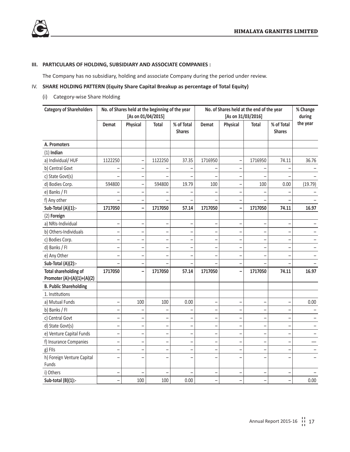

#### **III. PARTICULARS OF HOLDING, SUBSIDIARY AND ASSOCIATE COMPANIES :**

The Company has no subsidiary, holding and associate Company during the period under review.

#### IV. **SHARE HOLDING PATTERN (Equity Share Capital Breakup as percentage of Total Equity)**

(i) Category-wise Share Holding

| <b>Category of Shareholders</b>                            | No. of Shares held at the beginning of the year<br>[As on 01/04/2015] |                          |                          |                             | No. of Shares held at the end of the year<br>[As on 31/03/2016] |                          |                          |                             | % Change<br>during |
|------------------------------------------------------------|-----------------------------------------------------------------------|--------------------------|--------------------------|-----------------------------|-----------------------------------------------------------------|--------------------------|--------------------------|-----------------------------|--------------------|
|                                                            | Demat                                                                 | Physical                 | <b>Total</b>             | % of Total<br><b>Shares</b> | Demat                                                           | Physical                 | Total                    | % of Total<br><b>Shares</b> | the year           |
| A. Promoters                                               |                                                                       |                          |                          |                             |                                                                 |                          |                          |                             |                    |
| $(1)$ Indian                                               |                                                                       |                          |                          |                             |                                                                 |                          |                          |                             |                    |
| a) Individual/HUF                                          | 1122250                                                               | $\overline{\phantom{0}}$ | 1122250                  | 37.35                       | 1716950                                                         |                          | 1716950                  | 74.11                       | 36.76              |
| b) Central Govt                                            |                                                                       |                          |                          |                             |                                                                 |                          |                          |                             |                    |
| c) State Govt(s)                                           |                                                                       |                          |                          |                             |                                                                 |                          |                          |                             |                    |
| d) Bodies Corp.                                            | 594800                                                                | $\overline{\phantom{0}}$ | 594800                   | 19.79                       | 100                                                             |                          | 100                      | 0.00                        | (19.79)            |
| e) Banks / FI                                              |                                                                       | ۰                        |                          |                             |                                                                 |                          |                          |                             |                    |
| f) Any other                                               |                                                                       |                          |                          |                             |                                                                 |                          |                          |                             |                    |
| Sub-Total (A)(1):-                                         | 1717050                                                               | $\qquad \qquad -$        | 1717050                  | 57.14                       | 1717050                                                         | $\overline{\phantom{0}}$ | 1717050                  | 74.11                       | 16.97              |
| (2) Foreign                                                |                                                                       |                          |                          |                             |                                                                 |                          |                          |                             |                    |
| a) NRIs-Individual                                         |                                                                       |                          |                          |                             |                                                                 |                          |                          |                             |                    |
| b) Others-Individuals                                      | $\overline{\phantom{0}}$                                              |                          |                          | $\overline{\phantom{0}}$    |                                                                 |                          | $\overline{\phantom{0}}$ |                             |                    |
| c) Bodies Corp.                                            | $\overline{\phantom{0}}$                                              |                          | $\overline{a}$           | $\qquad \qquad -$           |                                                                 |                          | $\equiv$                 |                             |                    |
| d) Banks / FI                                              | $\overline{\phantom{0}}$                                              |                          |                          | $\overline{a}$              |                                                                 |                          | $\overline{\phantom{0}}$ |                             |                    |
| e) Any Other                                               | -                                                                     |                          |                          | ÷                           |                                                                 |                          |                          |                             |                    |
| Sub-Total (A)(2):-                                         |                                                                       | $\overline{\phantom{0}}$ |                          | $\qquad \qquad -$           |                                                                 | $\overline{\phantom{0}}$ |                          |                             |                    |
| <b>Total shareholding of</b><br>Promoter (A)=(A)(1)+(A)(2) | 1717050                                                               | -                        | 1717050                  | 57.14                       | 1717050                                                         |                          | 1717050                  | 74.11                       | 16.97              |
| <b>B. Public Shareholding</b>                              |                                                                       |                          |                          |                             |                                                                 |                          |                          |                             |                    |
| 1. Institutions                                            |                                                                       |                          |                          |                             |                                                                 |                          |                          |                             |                    |
| a) Mutual Funds                                            |                                                                       | 100                      | 100                      | 0.00                        | $\overline{\phantom{0}}$                                        |                          | $\overline{\phantom{0}}$ |                             | 0.00               |
| b) Banks / FI                                              |                                                                       |                          |                          |                             | ۰                                                               |                          | $\overline{\phantom{0}}$ |                             |                    |
| c) Central Govt                                            |                                                                       |                          |                          | -                           |                                                                 |                          | $\overline{\phantom{0}}$ |                             |                    |
| d) State Govt(s)                                           | <b>-</b>                                                              | $\overline{\phantom{0}}$ | $\overline{\phantom{0}}$ | <sup>-</sup>                |                                                                 |                          | $\overline{\phantom{0}}$ | -                           |                    |
| e) Venture Capital Funds                                   | $\qquad \qquad -$                                                     | $\overline{\phantom{0}}$ | $\overline{\phantom{0}}$ | $\overline{\phantom{0}}$    | $\overline{\phantom{0}}$                                        | $\overline{\phantom{0}}$ | $\overline{\phantom{0}}$ | -                           |                    |
| f) Insurance Companies                                     | $\overline{a}$                                                        | $\equiv$                 | $\overline{\phantom{0}}$ | $\overline{a}$              | ۰                                                               | $\equiv$                 | $\qquad \qquad -$        | $\overline{a}$              |                    |
| g) Flls                                                    |                                                                       |                          |                          | $\overline{a}$              |                                                                 |                          | $\overline{\phantom{0}}$ |                             |                    |
| h) Foreign Venture Capital<br>Funds                        |                                                                       |                          |                          | ÷                           |                                                                 |                          | $\overline{\phantom{0}}$ |                             |                    |
| i) Others                                                  |                                                                       |                          |                          |                             |                                                                 |                          |                          |                             |                    |
| Sub-total (B)(1):-                                         |                                                                       | 100                      | 100                      | 0.00                        | $\qquad \qquad -$                                               | $\overline{a}$           | $\overline{\phantom{0}}$ |                             | 0.00               |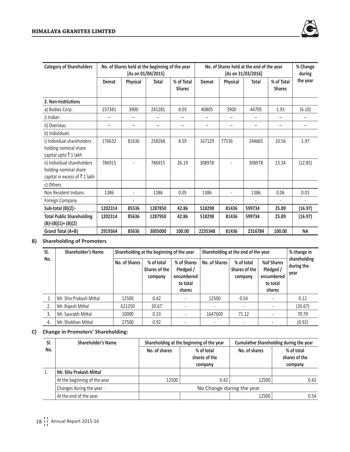| <b>Category of Shareholders</b>                                                      | No. of Shares held at the beginning of the year<br>[As on 01/04/2015] |          |              |                             | No. of Shares held at the end of the year<br>[As on $31/03/2016$ ] |                          |                          |                             | % Change<br>during |
|--------------------------------------------------------------------------------------|-----------------------------------------------------------------------|----------|--------------|-----------------------------|--------------------------------------------------------------------|--------------------------|--------------------------|-----------------------------|--------------------|
|                                                                                      | Demat                                                                 | Physical | <b>Total</b> | % of Total<br><b>Shares</b> | Demat                                                              | Physical                 | <b>Total</b>             | % of Total<br><b>Shares</b> | the year           |
| 2. Non-Institutions                                                                  |                                                                       |          |              |                             |                                                                    |                          |                          |                             |                    |
| a) Bodies Corp.                                                                      | 237381                                                                | 3900     | 241281       | 8.03                        | 40805                                                              | 3900                     | 44705                    | 1.93                        | (6.10)             |
| i) Indian                                                                            |                                                                       |          |              |                             |                                                                    |                          |                          |                             |                    |
| ii) Overseas                                                                         | -                                                                     |          | -            | -                           | -                                                                  | $\overline{\phantom{0}}$ | $\overline{\phantom{0}}$ | -                           | -                  |
| b) Individuals                                                                       |                                                                       |          |              |                             |                                                                    |                          |                          |                             |                    |
| i) Individual shareholders<br>holding nominal share<br>capital upto ₹1 lakh          | 176632                                                                | 81636    | 258268       | 8.59                        | 167129                                                             | 77536                    | 244665                   | 10.56                       | 1.97               |
| ii) Individual shareholders<br>holding nominal share<br>capital in excess of ₹1 lakh | 786915                                                                |          | 786915       | 26.19                       | 308978                                                             |                          | 308978                   | 13.34                       | (12.85)            |
| c) Others                                                                            |                                                                       |          |              |                             |                                                                    |                          |                          |                             |                    |
| Non Resident Indians                                                                 | 1386                                                                  |          | 1386         | 0.05                        | 1386                                                               |                          | 1386                     | 0.06                        | 0.01               |
| Foreign Company                                                                      |                                                                       |          |              | $\overline{\phantom{a}}$    |                                                                    |                          |                          |                             |                    |
| Sub-total $(B)(2)$ :-                                                                | 1202314                                                               | 85536    | 1287850      | 42.86                       | 518298                                                             | 81436                    | 599734                   | 25.89                       | (16.97)            |
| <b>Total Public Shareholding</b><br>$(B)=(B)(1)+(B)(2)$                              | 1202314                                                               | 85636    | 1287950      | 42.86                       | 518298                                                             | 81436                    | 599734                   | 25.89                       | (16.97)            |
| Grand Total (A+B)                                                                    | 2919364                                                               | 85636    | 3005000      | 100.00                      | 2235348                                                            | 81436                    | 2316784                  | 100.00                      | <b>NA</b>          |

#### **B) Shareholding of Promoters**

| SI. | <b>Shareholder's Name</b> |               | Shareholding at the beginning of the year |                                                              | Shareholding at the end of the year | % change in                            |                                                             |                                    |
|-----|---------------------------|---------------|-------------------------------------------|--------------------------------------------------------------|-------------------------------------|----------------------------------------|-------------------------------------------------------------|------------------------------------|
| No. |                           | No. of Shares | % of total<br>Shares of the<br>company    | % of Shares<br>Pledged /<br>encumbered<br>to total<br>shares | No. of Shares                       | % of total<br>Shares of the<br>company | %of Shares<br>Pledged /<br>encumbered<br>to total<br>shares | shareholding<br>during the<br>year |
|     | Mr. Shiv Prakash Mittal   | 12500         | 0.42                                      |                                                              | 12500                               | 0.54                                   |                                                             | 0.12                               |
| 2.  | Mr. Rajesh Mittal         | 621250        | 20.67                                     |                                                              |                                     |                                        |                                                             | (20.67)                            |
| 3.  | Mr. Saurabh Mittal        | 10000         | 0.33                                      |                                                              | 1647600                             | 71.12                                  |                                                             | 70.79                              |
| 4.  | Mr. Shobhan Mittal        | 27500         | 0.92                                      |                                                              |                                     |                                        |                                                             | (0.92)                             |

#### **C) Change in Promoters' Shareholding:**

| SI. | <b>Shareholder's Name</b>    |                           | Shareholding at the beginning of the year | Cumulative Shareholding during the year |                                        |  |  |
|-----|------------------------------|---------------------------|-------------------------------------------|-----------------------------------------|----------------------------------------|--|--|
| No. |                              | No. of shares             | % of total<br>shares of the<br>company    | No. of shares                           | % of total<br>shares of the<br>company |  |  |
| 1.  | Mr. Shiv Prakash Mittal      |                           |                                           |                                         |                                        |  |  |
|     | At the beginning of the year | 12500                     | 0.42                                      | 12500                                   | 0.42                                   |  |  |
|     | Changes during the year:     | No Change during the year |                                           |                                         |                                        |  |  |
|     | At the end of the year       |                           |                                           | 12500                                   | 0.54                                   |  |  |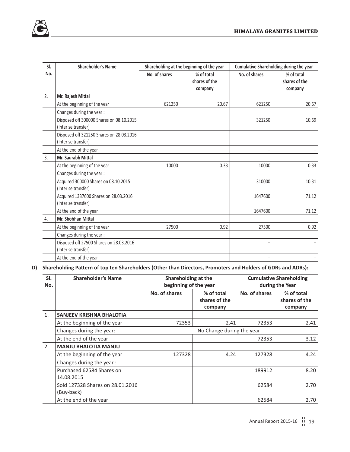| SI. | <b>Shareholder's Name</b>                                       |               | Shareholding at the beginning of the year | Cumulative Shareholding during the year |                                        |  |
|-----|-----------------------------------------------------------------|---------------|-------------------------------------------|-----------------------------------------|----------------------------------------|--|
| No. |                                                                 | No. of shares | % of total<br>shares of the<br>company    | No. of shares                           | % of total<br>shares of the<br>company |  |
| 2.  | Mr. Rajesh Mittal                                               |               |                                           |                                         |                                        |  |
|     | At the beginning of the year                                    | 621250        | 20.67                                     | 621250                                  | 20.67                                  |  |
|     | Changes during the year:                                        |               |                                           |                                         |                                        |  |
|     | Disposed off 300000 Shares on 08.10.2015<br>(Inter se transfer) |               |                                           | 321250                                  | 10.69                                  |  |
|     | Disposed off 321250 Shares on 28.03.2016<br>(Inter se transfer) |               |                                           |                                         |                                        |  |
|     | At the end of the year                                          |               |                                           |                                         |                                        |  |
| 3.  | Mr. Saurabh Mittal                                              |               |                                           |                                         |                                        |  |
|     | At the beginning of the year                                    | 10000         | 0.33                                      | 10000                                   | 0.33                                   |  |
|     | Changes during the year:                                        |               |                                           |                                         |                                        |  |
|     | Acquired 300000 Shares on 08.10.2015<br>(Inter se transfer)     |               |                                           | 310000                                  | 10.31                                  |  |
|     | Acquired 1337600 Shares on 28.03.2016<br>(Inter se transfer)    |               |                                           | 1647600                                 | 71.12                                  |  |
|     | At the end of the year                                          |               |                                           | 1647600                                 | 71.12                                  |  |
| 4.  | Mr. Shobhan Mittal                                              |               |                                           |                                         |                                        |  |
|     | At the beginning of the year                                    | 27500         | 0.92                                      | 27500                                   | 0.92                                   |  |
|     | Changes during the year:                                        |               |                                           |                                         |                                        |  |
|     | Disposed off 27500 Shares on 28.03.2016<br>(Inter se transfer)  |               |                                           |                                         |                                        |  |
|     | At the end of the year                                          |               |                                           | -                                       |                                        |  |

È

**D) Shareholding PaƩern of top ten Shareholders (Other than Directors, Promoters and Holders of GDRs and ADRs):**

| SI.<br>No. | <b>Shareholder's Name</b>                      | Shareholding at the<br>beginning of the year |                                        | <b>Cumulative Shareholding</b><br>during the Year |                                        |  |
|------------|------------------------------------------------|----------------------------------------------|----------------------------------------|---------------------------------------------------|----------------------------------------|--|
|            |                                                | No. of shares                                | % of total<br>shares of the<br>company | No. of shares                                     | % of total<br>shares of the<br>company |  |
| 1.         | SANJEEV KRISHNA BHALOTIA                       |                                              |                                        |                                                   |                                        |  |
|            | At the beginning of the year                   | 72353                                        | 2.41                                   | 72353                                             | 2.41                                   |  |
|            | Changes during the year:                       | No Change during the year                    |                                        |                                                   |                                        |  |
|            | At the end of the year                         |                                              |                                        | 72353                                             | 3.12                                   |  |
| 2.         | <b>MANJU BHALOTIA MANJU</b>                    |                                              |                                        |                                                   |                                        |  |
|            | At the beginning of the year                   | 127328                                       | 4.24                                   | 127328                                            | 4.24                                   |  |
|            | Changes during the year:                       |                                              |                                        |                                                   |                                        |  |
|            | Purchased 62584 Shares on<br>14.08.2015        |                                              |                                        | 189912                                            | 8.20                                   |  |
|            | Sold 127328 Shares on 28.01.2016<br>(Buy-back) |                                              |                                        | 62584                                             | 2.70                                   |  |
|            | At the end of the year                         |                                              |                                        | 62584                                             | 2.70                                   |  |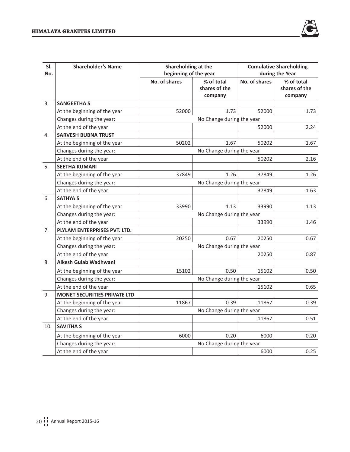

| SI.<br>No. | <b>Shareholder's Name</b>           | Shareholding at the<br>beginning of the year |                                        |               | <b>Cumulative Shareholding</b><br>during the Year |
|------------|-------------------------------------|----------------------------------------------|----------------------------------------|---------------|---------------------------------------------------|
|            |                                     | No. of shares                                | % of total<br>shares of the<br>company | No. of shares | % of total<br>shares of the<br>company            |
| 3.         | <b>SANGEETHA S</b>                  |                                              |                                        |               |                                                   |
|            | At the beginning of the year        | 52000                                        | 1.73                                   | 52000         | 1.73                                              |
|            | Changes during the year:            |                                              | No Change during the year              |               |                                                   |
|            | At the end of the year              |                                              |                                        | 52000         | 2.24                                              |
| 4.         | <b>SARVESH BUBNA TRUST</b>          |                                              |                                        |               |                                                   |
|            | At the beginning of the year        | 50202                                        | 1.67                                   | 50202         | 1.67                                              |
|            | Changes during the year:            |                                              | No Change during the year              |               |                                                   |
|            | At the end of the year              |                                              |                                        | 50202         | 2.16                                              |
| 5.         | <b>SEETHA KUMARI</b>                |                                              |                                        |               |                                                   |
|            | At the beginning of the year        | 37849                                        | 1.26                                   | 37849         | 1.26                                              |
|            | Changes during the year:            |                                              | No Change during the year              |               |                                                   |
|            | At the end of the year              |                                              |                                        | 37849         | 1.63                                              |
| 6.         | <b>SATHYA S</b>                     |                                              |                                        |               |                                                   |
|            | At the beginning of the year        | 33990                                        | 1.13                                   | 33990         | 1.13                                              |
|            | Changes during the year:            |                                              | No Change during the year              |               |                                                   |
|            | At the end of the year              |                                              |                                        | 33990         | 1.46                                              |
| 7.         | PLYLAM ENTERPRISES PVT. LTD.        |                                              |                                        |               |                                                   |
|            | At the beginning of the year        | 20250                                        | 0.67                                   | 20250         | 0.67                                              |
|            | Changes during the year:            |                                              | No Change during the year              |               |                                                   |
|            | At the end of the year              |                                              |                                        | 20250         | 0.87                                              |
| 8.         | Alkesh Gulab Wadhwani               |                                              |                                        |               |                                                   |
|            | At the beginning of the year        | 15102                                        | 0.50                                   | 15102         | 0.50                                              |
|            | Changes during the year:            |                                              | No Change during the year              |               |                                                   |
|            | At the end of the year              |                                              |                                        | 15102         | 0.65                                              |
| 9.         | <b>MONET SECURITIES PRIVATE LTD</b> |                                              |                                        |               |                                                   |
|            | At the beginning of the year        | 11867                                        | 0.39                                   | 11867         | 0.39                                              |
|            | Changes during the year:            |                                              | No Change during the year              |               |                                                   |
|            | At the end of the year              |                                              |                                        | 11867         | 0.51                                              |
| 10.        | <b>SAVITHA S</b>                    |                                              |                                        |               |                                                   |
|            | At the beginning of the year        | 6000                                         | 0.20                                   | 6000          | 0.20                                              |
|            | Changes during the year:            |                                              | No Change during the year              |               |                                                   |
|            | At the end of the year              |                                              |                                        | 6000          | 0.25                                              |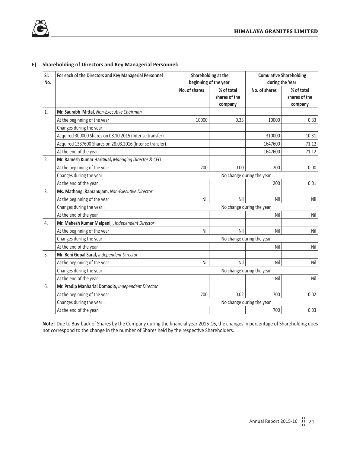

#### **E) Shareholding of Directors and Key Managerial Personnel:**

| SI.              | For each of the Directors and Key Managerial Personnel    |               | Shareholding at the      | <b>Cumulative Shareholding</b><br>during the Year |                          |
|------------------|-----------------------------------------------------------|---------------|--------------------------|---------------------------------------------------|--------------------------|
| No.              |                                                           |               | beginning of the year    |                                                   |                          |
|                  |                                                           | No. of shares | % of total               | No. of shares                                     | % of total               |
|                  |                                                           |               | shares of the<br>company |                                                   | shares of the<br>company |
| 1.               | Mr. Saurabh Mittal, Non-Executive Chairman                |               |                          |                                                   |                          |
|                  | At the beginning of the year                              | 10000         | 0.33                     | 10000                                             | 0.33                     |
|                  | Changes during the year :                                 |               |                          |                                                   |                          |
|                  | Acquired 300000 Shares on 08.10.2015 (Inter se transfer)  |               |                          | 310000                                            | 10.31                    |
|                  | Acquired 1337600 Shares on 28.03.2016 (Inter se transfer) |               |                          | 1647600                                           | 71.12                    |
|                  | At the end of the year                                    |               |                          | 1647600                                           | 71.12                    |
| 2.               | Mr. Ramesh Kumar Haritwal, Managing Director & CEO        |               |                          |                                                   |                          |
|                  | At the beginning of the year                              | 200           | 0.00                     | 200                                               | 0.00                     |
|                  | Changes during the year:                                  |               |                          | No change during the year                         |                          |
|                  | At the end of the year                                    |               |                          | 200                                               | 0.01                     |
| 3.               | Ms. Mathangi Ramanujam, Non-Executive Director            |               |                          |                                                   |                          |
|                  | At the beginning of the year                              | Nil           | Nil                      | Nil                                               | Nil                      |
|                  | Changes during the year :                                 |               |                          | No change during the year                         |                          |
|                  | At the end of the year                                    |               |                          | Nil                                               | Nil                      |
| $\overline{4}$ . | Mr. Mahesh Kumar Malpani, , Independent Director          |               |                          |                                                   |                          |
|                  | At the beginning of the year                              | Nil           | Nil                      | Nil                                               | Nil                      |
|                  | Changes during the year:                                  |               |                          | No change during the year                         |                          |
|                  | At the end of the year                                    |               |                          | Nil                                               | Nil                      |
| 5.               | Mr. Beni Gopal Saraf, Independent Director                |               |                          |                                                   |                          |
|                  | At the beginning of the year                              | Nil           | Nil                      | Nil                                               | Nil                      |
|                  | Changes during the year:                                  |               |                          | No change during the year                         |                          |
|                  | At the end of the year                                    |               |                          | Nil                                               | Nil                      |
| 6.               | Mr. Pradip Manharlal Domadia, Independent Director        |               |                          |                                                   |                          |
|                  | At the beginning of the year                              | 700           | 0.02                     | 700                                               | 0.02                     |
|                  | Changes during the year:                                  |               |                          | No change during the year                         |                          |
|                  | At the end of the year                                    |               |                          | 700                                               | 0.03                     |

Note : Due to Buy-back of Shares by the Company during the financial year 2015-16, the changes in percentage of Shareholding does not correspond to the change in the number of Shares held by the respective Shareholders.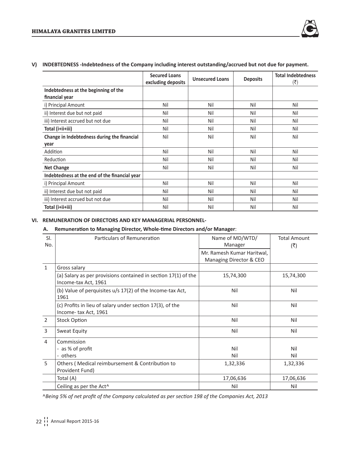#### **V) INDEBTEDNESS -Indebtedness of the Company including interest outstanding/accrued but not due for payment.**

|                                               | <b>Secured Loans</b><br>excluding deposits | <b>Unsecured Loans</b> | <b>Deposits</b> | <b>Total Indebtedness</b><br>$(\overline{\mathbf{z}})$ |
|-----------------------------------------------|--------------------------------------------|------------------------|-----------------|--------------------------------------------------------|
| Indebtedness at the beginning of the          |                                            |                        |                 |                                                        |
| financial year                                |                                            |                        |                 |                                                        |
| i) Principal Amount                           | Nil                                        | Nil                    | Nil             | Nil                                                    |
| ii) Interest due but not paid                 | Nil                                        | Nil                    | Nil             | Nil                                                    |
| iii) Interest accrued but not due             | Nil                                        | Nil                    | Nil             | Nil                                                    |
| Total (i+ii+iii)                              | Nil                                        | Nil                    | Nil             | Nil                                                    |
| Change in Indebtedness during the financial   | Nil                                        | Nil                    | Nil             | Nil                                                    |
| year                                          |                                            |                        |                 |                                                        |
| Addition                                      | Nil                                        | Nil                    | Nil             | Nil                                                    |
| Reduction                                     | Nil                                        | Nil                    | Nil             | Nil                                                    |
| <b>Net Change</b>                             | Nil                                        | Nil                    | Nil             | Nil                                                    |
| Indebtedness at the end of the financial year |                                            |                        |                 |                                                        |
| i) Principal Amount                           | Nil                                        | Nil                    | Nil             | Nil                                                    |
| ii) Interest due but not paid                 | Nil                                        | Nil                    | Nil             | Nil                                                    |
| iii) Interest accrued but not due             | Nil                                        | Nil                    | Nil             | Nil                                                    |
| Total (i+ii+iii)                              | Nil                                        | Nil                    | Nil             | Nil                                                    |

#### **VI. REMUNERATION OF DIRECTORS AND KEY MANAGERIAL PERSONNEL-**

#### **A. RemuneraƟon to Managing Director, Whole-Ɵme Directors and/or Manager**:

| SI.<br>No.     | Particulars of Remuneration                                                            | Name of MD/WTD/<br>Manager                            | <b>Total Amount</b><br>(₹) |
|----------------|----------------------------------------------------------------------------------------|-------------------------------------------------------|----------------------------|
|                |                                                                                        | Mr. Ramesh Kumar Haritwal,<br>Managing Director & CEO |                            |
| $\mathbf{1}$   | Gross salary                                                                           |                                                       |                            |
|                | (a) Salary as per provisions contained in section 17(1) of the<br>Income-tax Act, 1961 | 15,74,300                                             | 15,74,300                  |
|                | (b) Value of perquisites u/s 17(2) of the Income-tax Act,<br>1961                      | Nil                                                   | Nil                        |
|                | (c) Profits in lieu of salary under section 17(3), of the<br>Income-tax Act, 1961      | Nil                                                   | Nil                        |
| $\overline{2}$ | <b>Stock Option</b>                                                                    | Nil                                                   | Nil                        |
| 3              | Sweat Equity                                                                           | Nil                                                   | Nil                        |
| $\overline{4}$ | Commission                                                                             |                                                       |                            |
|                | - as % of profit                                                                       | Nil                                                   | Nil                        |
|                | - others                                                                               | Nil                                                   | Nil                        |
| 5              | Others (Medical reimbursement & Contribution to<br>Provident Fund)                     | 1,32,336                                              | 1,32,336                   |
|                | Total (A)                                                                              | 17,06,636                                             | 17,06,636                  |
|                | Ceiling as per the Act <sup>^</sup>                                                    | Nil                                                   | Nil                        |

^*Being 5% of net proĮt of the Company calculated as per secƟon 198 of the Companies Act, 2013*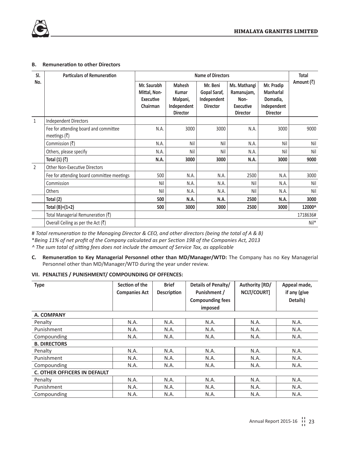

#### **B. RemuneraƟon to other Directors**

| SI.            | <b>Particulars of Remuneration</b>                               |                                                      | <b>Name of Directors</b>                                             |                                                            |                                                                           |                                                                              |                    |  |
|----------------|------------------------------------------------------------------|------------------------------------------------------|----------------------------------------------------------------------|------------------------------------------------------------|---------------------------------------------------------------------------|------------------------------------------------------------------------------|--------------------|--|
| No.            |                                                                  | Mr. Saurabh<br>Mittal, Non-<br>Executive<br>Chairman | <b>Mahesh</b><br>Kumar<br>Malpani,<br>Independent<br><b>Director</b> | Mr. Beni<br>Gopal Saraf,<br>Independent<br><b>Director</b> | Ms. Mathangi<br>Ramanujam,<br>Non-<br><b>Executive</b><br><b>Director</b> | Mr. Pradip<br><b>Manharlal</b><br>Domadia,<br>Independent<br><b>Director</b> | Amount $(\bar{z})$ |  |
| $\mathbf{1}$   | Independent Directors                                            |                                                      |                                                                      |                                                            |                                                                           |                                                                              |                    |  |
|                | Fee for attending board and committee<br>meetings $(\bar{\tau})$ | N.A.                                                 | 3000                                                                 | 3000                                                       | N.A.                                                                      | 3000                                                                         | 9000               |  |
|                | Commission $(\bar{\bar{\zeta}})$                                 | N.A.                                                 | Nil                                                                  | Nil                                                        | N.A.                                                                      | Nil                                                                          | Nil                |  |
|                | Others, please specify                                           | N.A.                                                 | Nil                                                                  | Nil                                                        | N.A.                                                                      | Nil                                                                          | Nil                |  |
|                | Total $(1)$ $(\bar{7})$                                          | N.A.                                                 | 3000                                                                 | 3000                                                       | N.A.                                                                      | 3000                                                                         | 9000               |  |
| $\overline{2}$ | Other Non-Executive Directors                                    |                                                      |                                                                      |                                                            |                                                                           |                                                                              |                    |  |
|                | Fee for attending board committee meetings                       | 500                                                  | N.A.                                                                 | N.A.                                                       | 2500                                                                      | N.A.                                                                         | 3000               |  |
|                | Commission                                                       | Nil                                                  | N.A.                                                                 | N.A.                                                       | Nil                                                                       | N.A.                                                                         | Nil                |  |
|                | Others                                                           | Nil                                                  | N.A.                                                                 | N.A.                                                       | Nil                                                                       | N.A.                                                                         | Nil                |  |
|                | Total (2)                                                        | 500                                                  | N.A.                                                                 | N.A.                                                       | 2500                                                                      | N.A.                                                                         | 3000               |  |
|                | Total $(B)=(1+2)$                                                | 500                                                  | 3000                                                                 | 3000                                                       | 2500                                                                      | 3000                                                                         | 12000^             |  |
|                | Total Managerial Remuneration (₹)                                |                                                      |                                                                      |                                                            |                                                                           |                                                                              | 1718636#           |  |
|                | Overall Ceiling as per the Act (₹)                               |                                                      |                                                                      |                                                            |                                                                           |                                                                              | $Nil*$             |  |

# Total remuneration to the Managing Director & CEO, and other directors (being the total of A & B) \**Being 11% of net proĮt of the Company calculated as per SecƟon 198 of the Companies Act, 2013 ^ The sum total of siƫng fees does not include the amount of Service Tax, as applicable*

**C. RemuneraƟon to Key Managerial Personnel other than MD/Manager/WTD:** The Company has no Key Managerial Personnel other than MD/Manager/WTD during the year under review.

#### **VII. PENALTIES / PUNISHMENT/ COMPOUNDING OF OFFENCES:**

| Section of the<br><b>Type</b>       |                      | <b>Brief</b>                       | Details of Penalty/     | Authority [RD/ | Appeal made, |  |
|-------------------------------------|----------------------|------------------------------------|-------------------------|----------------|--------------|--|
|                                     | <b>Companies Act</b> | Punishment /<br><b>Description</b> |                         | NCLT/COURT]    |              |  |
|                                     |                      |                                    | <b>Compounding fees</b> |                | Details)     |  |
|                                     |                      |                                    | imposed                 |                |              |  |
| A. COMPANY                          |                      |                                    |                         |                |              |  |
| Penalty                             | N.A.                 | N.A.                               | N.A.                    | N.A.           | N.A.         |  |
| Punishment                          | N.A.                 | N.A.                               | N.A.                    | N.A.           | N.A.         |  |
| Compounding                         | N.A.                 | N.A.                               | N.A.                    | N.A.           | N.A.         |  |
| <b>B. DIRECTORS</b>                 |                      |                                    |                         |                |              |  |
| Penalty                             | N.A.                 | N.A.                               | N.A.                    | N.A.           | N.A.         |  |
| Punishment                          | N.A.                 | N.A.                               | N.A.                    | N.A.           | N.A.         |  |
| Compounding                         | N.A.                 | N.A.                               | N.A.                    | N.A.           | N.A.         |  |
| <b>C. OTHER OFFICERS IN DEFAULT</b> |                      |                                    |                         |                |              |  |
| Penalty                             | N.A.                 | N.A.                               | N.A.                    | N.A.           | N.A.         |  |
| Punishment                          | N.A.                 | N.A.                               | N.A.                    | N.A.           | N.A.         |  |
| Compounding                         | N.A.                 | N.A.                               | N.A.                    | N.A.           | N.A.         |  |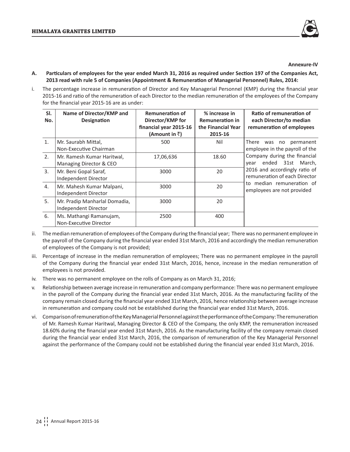

#### **Annexure-IV**

- **A. ParƟculars of employees for the year ended March 31, 2016 as required under SecƟon 197 of the Companies Act, 2013 read with rule 5 of Companies (Appointment & RemuneraƟon of Managerial Personnel) Rules, 2014:**
- i. The percentage increase in remuneration of Director and Key Managerial Personnel (KMP) during the financial year 2015-16 and ratio of the remuneration of each Director to the median remuneration of the employees of the Company for the financial year 2015-16 are as under:

| SI.<br>No. | Name of Director/KMP and<br><b>Designation</b>        | <b>Remuneration of</b><br>Director/KMP for<br>financial year 2015-16<br>(Amount in ₹) | % increase in<br><b>Remuneration in</b><br>the Financial Year<br>2015-16 | Ratio of remuneration of<br>each Director/to median<br>remuneration of employees |
|------------|-------------------------------------------------------|---------------------------------------------------------------------------------------|--------------------------------------------------------------------------|----------------------------------------------------------------------------------|
| 1.         | Mr. Saurabh Mittal,<br>Non-Executive Chairman         | 500                                                                                   | Nil                                                                      | There<br>permanent<br>was<br>no<br>employee in the payroll of the                |
| 2.         | Mr. Ramesh Kumar Haritwal,<br>Managing Director & CEO | 17,06,636                                                                             | 18.60                                                                    | Company during the financial<br>ended<br>31st March,<br>year                     |
| 3.         | Mr. Beni Gopal Saraf,<br>Independent Director         | 3000                                                                                  | 20                                                                       | 2016 and accordingly ratio of<br>remuneration of each Director                   |
| 4.         | Mr. Mahesh Kumar Malpani,<br>Independent Director     | 3000                                                                                  | 20                                                                       | to median remuneration of<br>employees are not provided                          |
| 5.         | Mr. Pradip Manharlal Domadia,<br>Independent Director | 3000                                                                                  | 20                                                                       |                                                                                  |
| 6.         | Ms. Mathangi Ramanujam,<br>Non-Executive Director     | 2500                                                                                  | 400                                                                      |                                                                                  |

- ii. The median remuneration of employees of the Company during the financial year; There was no permanent employee in the payroll of the Company during the financial year ended 31st March, 2016 and accordingly the median remuneration of employees of the Company is not provided;
- iii. Percentage of increase in the median remuneration of employees; There was no permanent employee in the payroll of the Company during the financial year ended 31st March, 2016, hence, increase in the median remuneration of employees is not provided.
- iv. There was no permanent employee on the rolls of Company as on March 31, 2016;
- v. Relationship between average increase in remuneration and company performance: There was no permanent employee in the payroll of the Company during the financial year ended 31st March, 2016. As the manufacturing facility of the company remain closed during the financial year ended 31st March, 2016, hence relationship between average increase in remuneration and company could not be established during the financial year ended 31st March, 2016.
- vi. Comparison of remuneration of the Key Managerial Personnel against the performance of the Company: The remuneration of Mr. Ramesh Kumar Haritwal, Managing Director & CEO of the Company, the only KMP, the remuneration increased 18.60% during the financial year ended 31st March, 2016. As the manufacturing facility of the company remain closed during the financial year ended 31st March, 2016, the comparison of remuneration of the Key Managerial Personnel against the performance of the Company could not be established during the financial year ended 31st March, 2016.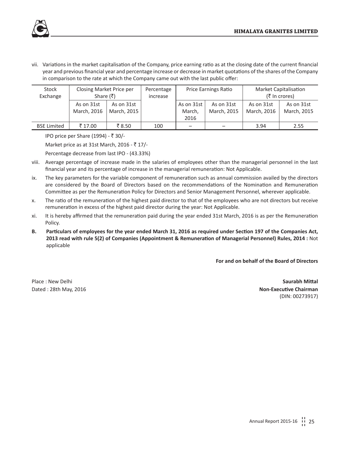



vii. Variations in the market capitalisation of the Company, price earning ratio as at the closing date of the current financial year and previous financial year and percentage increase or decrease in market quotations of the shares of the Company in comparison to the rate at which the Company came out with the last public offer:

| Stock<br>Exchange  | Closing Market Price per<br>Share $(₹)$ |                           | Percentage<br>increase |                          | Price Earnings Ratio      |                           | <b>Market Capitalisation</b><br>$(5 \text{ In crores})$ |
|--------------------|-----------------------------------------|---------------------------|------------------------|--------------------------|---------------------------|---------------------------|---------------------------------------------------------|
|                    | As on 31st<br>March, 2016               | As on 31st<br>March, 2015 |                        | As on 31st<br>March,     | As on 31st<br>March, 2015 | As on 31st<br>March, 2016 | As on 31st<br>March, 2015                               |
|                    |                                         |                           |                        | 2016                     |                           |                           |                                                         |
| <b>BSE Limited</b> | ₹ 17.00                                 | ₹ 8.50                    | 100                    | $\overline{\phantom{0}}$ |                           | 3.94                      | 2.55                                                    |

IPO price per Share (1994) - ₹ 30/-

Market price as at 31st March, 2016 -  $\overline{5}$  17/-

Percentage decrease from last IPO - (43.33%)

- viii. Average percentage of increase made in the salaries of employees other than the managerial personnel in the last financial year and its percentage of increase in the managerial remuneration: Not Applicable.
- ix. The key parameters for the variable component of remuneration such as annual commission availed by the directors are considered by the Board of Directors based on the recommendations of the Nomination and Remuneration Committee as per the Remuneration Policy for Directors and Senior Management Personnel, wherever applicable.
- x. The ratio of the remuneration of the highest paid director to that of the employees who are not directors but receive remuneration in excess of the highest paid director during the year: Not Applicable.
- xi. It is hereby affirmed that the remuneration paid during the year ended 31st March, 2016 is as per the Remuneration Policy.
- **B. ParƟculars of employees for the year ended March 31, 2016 as required under SecƟon 197 of the Companies Act, 2013 read with rule 5(2) of Companies (Appointment & Remuneration of Managerial Personnel) Rules, 2014 : Not** applicable

**For and on behalf of the Board of Directors**

Place : New Delhi **Saurabh Mittal** 

Dated : 28th May, 2016 **Non-ExecuƟve Chairman** (DIN: 00273917)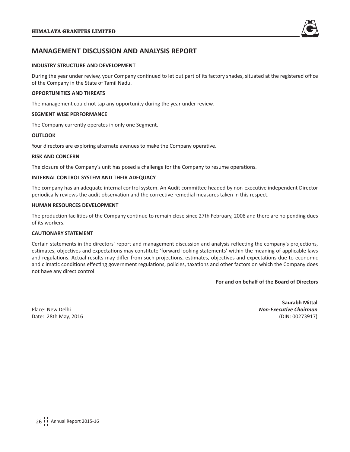

#### **MANAGEMENT DISCUSSION AND ANALYSIS REPORT**

#### **INDUSTRY STRUCTURE AND DEVELOPMENT**

During the year under review, your Company continued to let out part of its factory shades, situated at the registered office of the Company in the State of Tamil Nadu.

#### **OPPORTUNITIES AND THREATS**

The management could not tap any opportunity during the year under review.

#### **SEGMENT WISE PERFORMANCE**

The Company currently operates in only one Segment.

#### **OUTLOOK**

Your directors are exploring alternate avenues to make the Company operative.

#### **RISK AND CONCERN**

The closure of the Company's unit has posed a challenge for the Company to resume operations.

#### **INTERNAL CONTROL SYSTEM AND THEIR ADEQUACY**

The company has an adequate internal control system. An Audit committee headed by non-executive independent Director periodically reviews the audit observation and the corrective remedial measures taken in this respect.

#### **HUMAN RESOURCES DEVELOPMENT**

The production facilities of the Company continue to remain close since 27th February, 2008 and there are no pending dues of its workers.

#### **CAUTIONARY STATEMENT**

Certain statements in the directors' report and management discussion and analysis reflecting the company's projections, estimates, objectives and expectations may constitute 'forward looking statements' within the meaning of applicable laws and regulations. Actual results may differ from such projections, estimates, objectives and expectations due to economic and climatic conditions effecting government regulations, policies, taxations and other factors on which the Company does not have any direct control.

#### **For and on behalf of the Board of Directors**

**Saurabh MiƩal** Place: New Delhi *Non-ExecuƟve Chairman* Date: 28th May, 2016 (DIN: 00273917)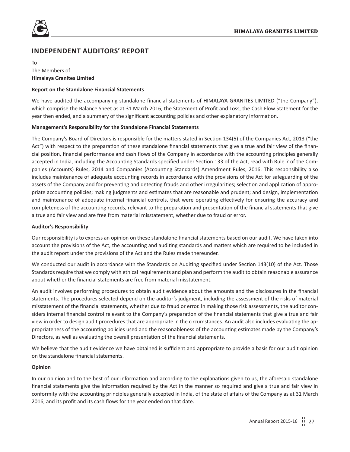

## **INDEPENDENT AUDITORS' REPORT**

To The Members of **Himalaya Granites Limited**

#### **Report on the Standalone Financial Statements**

We have audited the accompanying standalone financial statements of HIMALAYA GRANITES LIMITED ("the Company"), which comprise the Balance Sheet as at 31 March 2016, the Statement of Profit and Loss, the Cash Flow Statement for the year then ended, and a summary of the significant accounting policies and other explanatory information.

#### **Management's Responsibility for the Standalone Financial Statements**

The Company's Board of Directors is responsible for the matters stated in Section 134(5) of the Companies Act, 2013 ("the Act") with respect to the preparation of these standalone financial statements that give a true and fair view of the financial position, financial performance and cash flows of the Company in accordance with the accounting principles generally accepted in India, including the Accounting Standards specified under Section 133 of the Act, read with Rule 7 of the Companies (Accounts) Rules, 2014 and Companies (Accounting Standards) Amendment Rules, 2016. This responsibility also includes maintenance of adequate accounting records in accordance with the provisions of the Act for safeguarding of the assets of the Company and for preventing and detecting frauds and other irregularities; selection and application of appropriate accounting policies; making judgments and estimates that are reasonable and prudent; and design, implementation and maintenance of adequate internal financial controls, that were operating effectively for ensuring the accuracy and completeness of the accounting records, relevant to the preparation and presentation of the financial statements that give a true and fair view and are free from material misstatement, whether due to fraud or error.

#### **Auditor's Responsibility**

Our responsibility is to express an opinion on these standalone financial statements based on our audit. We have taken into account the provisions of the Act, the accounting and auditing standards and matters which are required to be included in the audit report under the provisions of the Act and the Rules made thereunder.

We conducted our audit in accordance with the Standards on Auditing specified under Section 143(10) of the Act. Those Standards require that we comply with ethical requirements and plan and perform the audit to obtain reasonable assurance about whether the financial statements are free from material misstatement.

An audit involves performing procedures to obtain audit evidence about the amounts and the disclosures in the financial statements. The procedures selected depend on the auditor's judgment, including the assessment of the risks of material misstatement of the financial statements, whether due to fraud or error. In making those risk assessments, the auditor considers internal financial control relevant to the Company's preparation of the financial statements that give a true and fair view in order to design audit procedures that are appropriate in the circumstances. An audit also includes evaluating the appropriateness of the accounting policies used and the reasonableness of the accounting estimates made by the Company's Directors, as well as evaluating the overall presentation of the financial statements.

We believe that the audit evidence we have obtained is sufficient and appropriate to provide a basis for our audit opinion on the standalone financial statements.

#### **Opinion**

In our opinion and to the best of our information and according to the explanations given to us, the aforesaid standalone financial statements give the information required by the Act in the manner so required and give a true and fair view in conformity with the accounting principles generally accepted in India, of the state of affairs of the Company as at 31 March 2016, and its profit and its cash flows for the year ended on that date.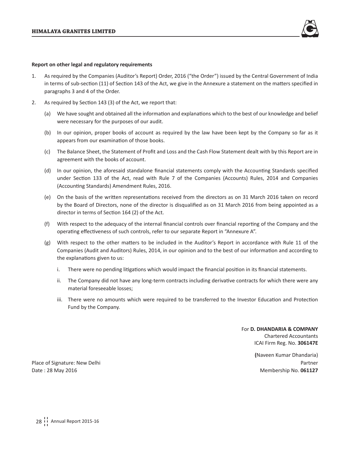

#### **Report on other legal and regulatory requirements**

- 1. As required by the Companies (Auditor's Report) Order, 2016 ("the Order") issued by the Central Government of India in terms of sub-section (11) of Section 143 of the Act, we give in the Annexure a statement on the matters specified in paragraphs 3 and 4 of the Order.
- 2. As required by Section 143 (3) of the Act, we report that:
	- (a) We have sought and obtained all the information and explanations which to the best of our knowledge and belief were necessary for the purposes of our audit.
	- (b) In our opinion, proper books of account as required by the law have been kept by the Company so far as it appears from our examination of those books.
	- (c) The Balance Sheet, the Statement of Profit and Loss and the Cash Flow Statement dealt with by this Report are in agreement with the books of account.
	- (d) In our opinion, the aforesaid standalone financial statements comply with the Accounting Standards specified under Section 133 of the Act, read with Rule 7 of the Companies (Accounts) Rules, 2014 and Companies (Accounting Standards) Amendment Rules, 2016.
	- (e) On the basis of the written representations received from the directors as on 31 March 2016 taken on record by the Board of Directors, none of the director is disqualified as on 31 March 2016 from being appointed as a director in terms of Section 164 (2) of the Act.
	- (f) With respect to the adequacy of the internal financial controls over financial reporting of the Company and the operating effectiveness of such controls, refer to our separate Report in "Annexure A".
	- (g) With respect to the other matters to be included in the Auditor's Report in accordance with Rule 11 of the Companies (Audit and Auditors) Rules, 2014, in our opinion and to the best of our information and according to the explanations given to us:
		- i. There were no pending litigations which would impact the financial position in its financial statements.
		- ii. The Company did not have any long-term contracts including derivative contracts for which there were any material foreseeable losses;
		- iii. There were no amounts which were required to be transferred to the Investor Education and Protection Fund by the Company.

For **D. DHANDARIA & COMPANY** Chartered Accountants ICAI Firm Reg. No. **306147E**

**(**Naveen Kumar Dhandaria)

Place of Signature: New Delhi **Partner** Partner and Partner Partner and Partner Partner Partner and Partner **Partner** Date : 28 May 2016 Membership No. **061127**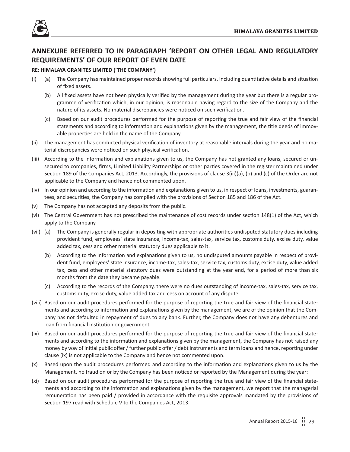

## **ANNEXURE REFERRED TO IN PARAGRAPH 'REPORT ON OTHER LEGAL AND REGULATORY REQUIREMENTS' OF OUR REPORT OF EVEN DATE**

#### **RE: HIMALAYA GRANITES LIMITED ('THE COMPANY')**

- (i) (a) The Company has maintained proper records showing full particulars, including quantitative details and situation of fixed assets.
	- (b) All fixed assets have not been physically verified by the management during the year but there is a regular programme of verification which, in our opinion, is reasonable having regard to the size of the Company and the nature of its assets. No material discrepancies were noticed on such verification.
	- (c) Based on our audit procedures performed for the purpose of reporting the true and fair view of the financial statements and according to information and explanations given by the management, the title deeds of immovable properties are held in the name of the Company.
- (ii) The management has conducted physical verification of inventory at reasonable intervals during the year and no material discrepancies were noticed on such physical verification.
- (iii) According to the information and explanations given to us, the Company has not granted any loans, secured or unsecured to companies, firms, Limited Liability Partnerships or other parties covered in the register maintained under Section 189 of the Companies Act, 2013. Accordingly, the provisions of clause 3(iii)(a), (b) and (c) of the Order are not applicable to the Company and hence not commented upon.
- (iv) In our opinion and according to the information and explanations given to us, in respect of loans, investments, guarantees, and securities, the Company has complied with the provisions of Section 185 and 186 of the Act.
- (v) The Company has not accepted any deposits from the public.
- (vi) The Central Government has not prescribed the maintenance of cost records under section 148(1) of the Act, which apply to the Company.
- (vii) (a) The Company is generally regular in depositing with appropriate authorities undisputed statutory dues including provident fund, employees' state insurance, income-tax, sales-tax, service tax, customs duty, excise duty, value added tax, cess and other material statutory dues applicable to it.
	- (b) According to the information and explanations given to us, no undisputed amounts payable in respect of provident fund, employees' state insurance, income-tax, sales-tax, service tax, customs duty, excise duty, value added tax, cess and other material statutory dues were outstanding at the year end, for a period of more than six months from the date they became payable.
	- (c) According to the records of the Company, there were no dues outstanding of income-tax, sales-tax, service tax, customs duty, excise duty, value added tax and cess on account of any dispute.
- (viii) Based on our audit procedures performed for the purpose of reporting the true and fair view of the financial statements and according to information and explanations given by the management, we are of the opinion that the Company has not defaulted in repayment of dues to any bank. Further, the Company does not have any debentures and loan from financial institution or government.
- (ix) Based on our audit procedures performed for the purpose of reporting the true and fair view of the financial statements and according to the information and explanations given by the management, the Company has not raised any money by way of initial public offer / further public offer / debt instruments and term loans and hence, reporting under clause (ix) is not applicable to the Company and hence not commented upon.
- (x) Based upon the audit procedures performed and according to the information and explanations given to us by the Management, no fraud on or by the Company has been noticed or reported by the Management during the year:
- (xi) Based on our audit procedures performed for the purpose of reporting the true and fair view of the financial statements and according to the information and explanations given by the management, we report that the managerial remuneration has been paid / provided in accordance with the requisite approvals mandated by the provisions of Section 197 read with Schedule V to the Companies Act, 2013.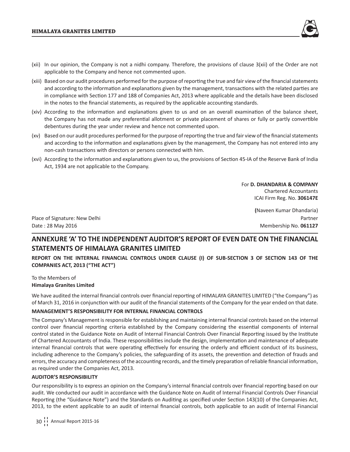- (xii) In our opinion, the Company is not a nidhi company. Therefore, the provisions of clause 3(xii) of the Order are not applicable to the Company and hence not commented upon.
- (xiii) Based on our audit procedures performed for the purpose of reporting the true and fair view of the financial statements and according to the information and explanations given by the management, transactions with the related parties are in compliance with Section 177 and 188 of Companies Act, 2013 where applicable and the details have been disclosed in the notes to the financial statements, as required by the applicable accounting standards.
- (xiv) According to the information and explanations given to us and on an overall examination of the balance sheet, the Company has not made any preferential allotment or private placement of shares or fully or partly convertible debentures during the year under review and hence not commented upon.
- (xv) Based on our audit procedures performed for the purpose of reporting the true and fair view of the financial statements and according to the information and explanations given by the management, the Company has not entered into any non-cash transactions with directors or persons connected with him.
- (xvi) According to the information and explanations given to us, the provisions of Section 45-IA of the Reserve Bank of India Act, 1934 are not applicable to the Company.

For **D. DHANDARIA & COMPANY** Chartered Accountants ICAI Firm Reg. No. **306147E**

Place of Signature: New Delhi **Partner** Partner and Partner Partner and Partner Partner Partner and Partner **Partner** Date : 28 May 2016 Membership No. **061127**

**(**Naveen Kumar Dhandaria)

## **ANNEXURE 'A' TO THE INDEPENDENT AUDITOR'S REPORT OF EVEN DATE ON THE FINANCIAL STATEMENTS OF HIMALAYA GRANITES LIMITED**

**REPORT ON THE INTERNAL FINANCIAL CONTROLS UNDER CLAUSE (I) OF SUB-SECTION 3 OF SECTION 143 OF THE COMPANIES ACT, 2013 ("THE ACT")**

To the Members of **Himalaya Granites Limited**

We have audited the internal financial controls over financial reporting of HIMALAYA GRANITES LIMITED ("the Company") as of March 31, 2016 in conjunction with our audit of the financial statements of the Company for the year ended on that date.

#### **MANAGEMENT'S RESPONSIBILITY FOR INTERNAL FINANCIAL CONTROLS**

The Company's Management is responsible for establishing and maintaining internal financial controls based on the internal control over financial reporting criteria established by the Company considering the essential components of internal control stated in the Guidance Note on Audit of Internal Financial Controls Over Financial Reporting issued by the Institute of Chartered Accountants of India. These responsibilities include the design, implementation and maintenance of adequate internal financial controls that were operating effectively for ensuring the orderly and efficient conduct of its business, including adherence to the Company's policies, the safeguarding of its assets, the prevention and detection of frauds and errors, the accuracy and completeness of the accounting records, and the timely preparation of reliable financial information, as required under the Companies Act, 2013.

#### **AUDITOR'S RESPONSIBILITY**

Our responsibility is to express an opinion on the Company's internal financial controls over financial reporting based on our audit. We conducted our audit in accordance with the Guidance Note on Audit of Internal Financial Controls Over Financial Reporting (the "Guidance Note") and the Standards on Auditing as specified under Section 143(10) of the Companies Act, 2013, to the extent applicable to an audit of internal financial controls, both applicable to an audit of Internal Financial

Annual Report 2015-16 30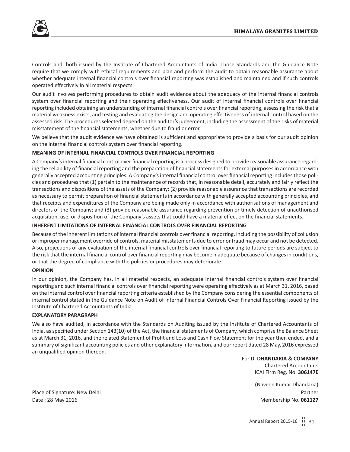

Controls and, both issued by the Institute of Chartered Accountants of India. Those Standards and the Guidance Note require that we comply with ethical requirements and plan and perform the audit to obtain reasonable assurance about whether adequate internal financial controls over financial reporting was established and maintained and if such controls operated effectively in all material respects.

Our audit involves performing procedures to obtain audit evidence about the adequacy of the internal financial controls system over financial reporting and their operating effectiveness. Our audit of internal financial controls over financial reporting included obtaining an understanding of internal financial controls over financial reporting, assessing the risk that a material weakness exists, and testing and evaluating the design and operating effectiveness of internal control based on the assessed risk. The procedures selected depend on the auditor's judgement, including the assessment of the risks of material misstatement of the financial statements, whether due to fraud or error.

We believe that the audit evidence we have obtained is sufficient and appropriate to provide a basis for our audit opinion on the internal financial controls system over financial reporting.

#### **MEANING OF INTERNAL FINANCIAL CONTROLS OVER FINANCIAL REPORTING**

A Company's internal financial control over financial reporting is a process designed to provide reasonable assurance regarding the reliability of financial reporting and the preparation of financial statements for external purposes in accordance with generally accepted accounting principles. A Company's internal financial control over financial reporting includes those policies and procedures that (1) pertain to the maintenance of records that, in reasonable detail, accurately and fairly reflect the transactions and dispositions of the assets of the Company; (2) provide reasonable assurance that transactions are recorded as necessary to permit preparation of financial statements in accordance with generally accepted accounting principles, and that receipts and expenditures of the Company are being made only in accordance with authorisations of management and directors of the Company; and (3) provide reasonable assurance regarding prevention or timely detection of unauthorised acquisition, use, or disposition of the Company's assets that could have a material effect on the financial statements.

#### **INHERENT LIMITATIONS OF INTERNAL FINANCIAL CONTROLS OVER FINANCIAL REPORTING**

Because of the inherent limitations of internal financial controls over financial reporting, including the possibility of collusion or improper management override of controls, material misstatements due to error or fraud may occur and not be detected. Also, projections of any evaluation of the internal financial controls over financial reporting to future periods are subject to the risk that the internal financial control over financial reporting may become inadequate because of changes in conditions, or that the degree of compliance with the policies or procedures may deteriorate.

#### **OPINION**

In our opinion, the Company has, in all material respects, an adequate internal financial controls system over financial reporting and such internal financial controls over financial reporting were operating effectively as at March 31, 2016, based on the internal control over financial reporting criteria established by the Company considering the essential components of internal control stated in the Guidance Note on Audit of Internal Financial Controls Over Financial Reporting issued by the Institute of Chartered Accountants of India.

#### **EXPLANATORY PARAGRAPH**

We also have audited, in accordance with the Standards on Auditing issued by the Institute of Chartered Accountants of India, as specified under Section 143(10) of the Act, the financial statements of Company, which comprise the Balance Sheet as at March 31, 2016, and the related Statement of Profit and Loss and Cash Flow Statement for the year then ended, and a summary of significant accounting policies and other explanatory information, and our report dated 28 May, 2016 expressed an unqualified opinion thereon.

> For **D. DHANDARIA & COMPANY** Chartered Accountants ICAI Firm Reg. No. **306147E**

> > **(**Naveen Kumar Dhandaria)

Place of Signature: New Delhi **Partner** Partner and Partner Partner and Partner Partner Partner and Partner Partner Date : 28 May 2016 Membership No. **061127**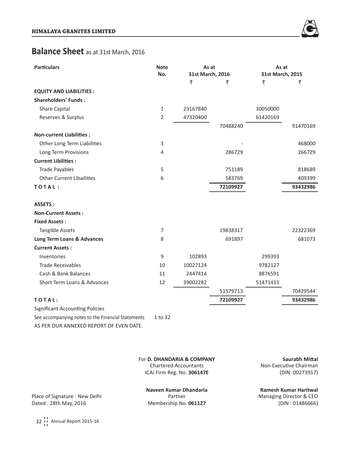# **Balance Sheet** as at 31st March, 2016

| <b>Particulars</b>                                 | <b>Note</b><br>No. | As at<br>31st March, 2016 |          | As at<br>31st March, 2015 |          |
|----------------------------------------------------|--------------------|---------------------------|----------|---------------------------|----------|
|                                                    |                    | ₹                         | ₹        | ₹                         | ₹        |
| <b>EQUITY AND LIABILITIES:</b>                     |                    |                           |          |                           |          |
| <b>Shareholders' Funds:</b>                        |                    |                           |          |                           |          |
| <b>Share Capital</b>                               | $\mathbf{1}$       | 23167840                  |          | 30050000                  |          |
| Reserves & Surplus                                 | 2                  | 47320400                  |          | 61420169                  |          |
|                                                    |                    |                           | 70488240 |                           | 91470169 |
| <b>Non-current Liabilities:</b>                    |                    |                           |          |                           |          |
| Other Long Term Liabilities                        | 3                  |                           |          |                           | 468000   |
| Long Term Provisions                               | 4                  |                           | 286729   |                           | 266729   |
| <b>Current Libilities:</b>                         |                    |                           |          |                           |          |
| <b>Trade Payables</b>                              | 5                  |                           | 751189   |                           | 818689   |
| <b>Other Current Libailities</b>                   | 6                  |                           | 583769   |                           | 409399   |
| TOTAL:                                             |                    |                           | 72109927 |                           | 93432986 |
|                                                    |                    |                           |          |                           |          |
| <b>ASSETS:</b>                                     |                    |                           |          |                           |          |
| <b>Non-Current Assets:</b>                         |                    |                           |          |                           |          |
| <b>Fixed Assets:</b>                               |                    |                           |          |                           |          |
| <b>Tangible Assets</b>                             | 7                  |                           | 19838317 |                           | 22322369 |
| Long Term Loans & Advances                         | 8                  |                           | 691897   |                           | 681073   |
| <b>Current Assets:</b>                             |                    |                           |          |                           |          |
| Inventories                                        | $\mathsf 9$        | 102893                    |          | 299393                    |          |
| <b>Trade Receivables</b>                           | 10                 | 10027124                  |          | 9782127                   |          |
| Cash & Bank Balances                               | 11                 | 2447414                   |          | 8876591                   |          |
| Short Term Loans & Advances                        | 12                 | 39002282                  |          | 51471433                  |          |
|                                                    |                    |                           | 51579713 |                           | 70429544 |
| TOTAL:                                             |                    |                           | 72109927 |                           | 93432986 |
| <b>Significant Accounting Policies</b>             |                    |                           |          |                           |          |
| See accompanying notes to the Financial Statements | 1 to 32            |                           |          |                           |          |

AS PER OUR ANNEXED REPORT OF EVEN DATE.

For **D. DHANDARIA & COMPANY** Saurabh Mittal<br>Chartered Accountants **Saurabh Microsoft Chairman** ICAI Firm Reg. No. **306147E** (DIN: 00273917)

Non-Executive Chairman

**Naveen Kumar Dhandaria Ramesh Kumar Haritwal**<br>Partner **Ramesh Kumar Partner Ramesh Kumar Partner Ramesh Kumar Partner Ramesh Kumar Partner** 

Place of Signature : New Delhi Place of Signature : New Delhi Partner Dated : 28th May, 2016

Membership No. **061127** (DIN : 01486666)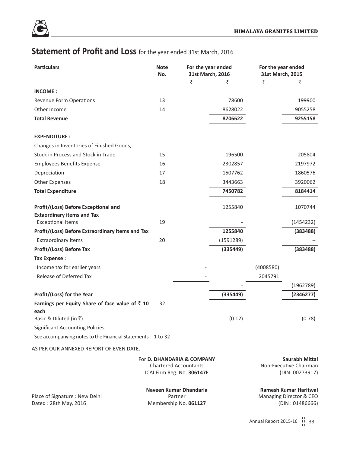

# **Statement of Profit and Loss** for the year ended 31st March, 2016

| <b>Particulars</b>                                                        | <b>Note</b><br>No.                    | For the year ended<br>31st March, 2016                     |           | For the year ended<br>31st March, 2015 |                                                                    |  |
|---------------------------------------------------------------------------|---------------------------------------|------------------------------------------------------------|-----------|----------------------------------------|--------------------------------------------------------------------|--|
|                                                                           |                                       | ₹                                                          | ₹         | ₹                                      | ₹                                                                  |  |
| <b>INCOME:</b>                                                            |                                       |                                                            |           |                                        |                                                                    |  |
| <b>Revenue Form Operations</b>                                            | 13                                    |                                                            | 78600     |                                        | 199900                                                             |  |
| Other Income                                                              | 14                                    |                                                            | 8628022   |                                        | 9055258                                                            |  |
| <b>Total Revenue</b>                                                      |                                       |                                                            | 8706622   |                                        | 9255158                                                            |  |
| <b>EXPENDITURE:</b>                                                       |                                       |                                                            |           |                                        |                                                                    |  |
| Changes in Inventories of Finished Goods,                                 |                                       |                                                            |           |                                        |                                                                    |  |
| Stock in Process and Stock in Trade                                       | 15                                    |                                                            | 196500    |                                        | 205804                                                             |  |
| <b>Employees Benefits Expense</b>                                         | 16                                    |                                                            | 2302857   |                                        | 2197972                                                            |  |
| Depreciation                                                              | 17                                    |                                                            | 1507762   |                                        | 1860576                                                            |  |
| <b>Other Expenses</b>                                                     | 18                                    |                                                            | 3443663   |                                        | 3920062                                                            |  |
| <b>Total Expenditure</b>                                                  |                                       |                                                            | 7450782   |                                        | 8184414                                                            |  |
| Profit/(Loss) Before Exceptional and<br><b>Extaordinary items and Tax</b> |                                       |                                                            | 1255840   |                                        | 1070744                                                            |  |
| <b>Exceptional Items</b>                                                  | 19                                    |                                                            |           |                                        | (1454232)                                                          |  |
| Profit/(Loss) Before Extraordinary items and Tax                          |                                       |                                                            | 1255840   |                                        | (383488)                                                           |  |
| <b>Extraordinary Items</b>                                                | 20                                    |                                                            | (1591289) |                                        |                                                                    |  |
| Profit/(Loss) Before Tax                                                  |                                       |                                                            | (335449)  |                                        | (383488)                                                           |  |
| <b>Tax Expense:</b>                                                       |                                       |                                                            |           |                                        |                                                                    |  |
| Income tax for earlier years                                              |                                       |                                                            |           | (4008580)                              |                                                                    |  |
| Release of Deferred Tax                                                   |                                       |                                                            |           | 2045791                                |                                                                    |  |
|                                                                           |                                       |                                                            |           |                                        | (1962789)                                                          |  |
| Profit/(Loss) for the Year                                                |                                       |                                                            | (335449)  |                                        | (2346277)                                                          |  |
| Earnings per Equity Share of face value of $\bar{z}$ 10<br>each           | 32                                    |                                                            |           |                                        |                                                                    |  |
| Basic & Diluted (in ₹)                                                    |                                       |                                                            | (0.12)    |                                        | (0.78)                                                             |  |
| <b>Significant Accounting Policies</b>                                    |                                       |                                                            |           |                                        |                                                                    |  |
| See accompanying notes to the Financial Statements 1 to 32                |                                       |                                                            |           |                                        |                                                                    |  |
| AS PER OUR ANNEXED REPORT OF EVEN DATE.                                   |                                       |                                                            |           |                                        |                                                                    |  |
|                                                                           | For <b>D. DHANDARIA &amp; COMPANY</b> | <b>Chartered Accountants</b><br>ICAI Firm Reg. No. 306147E |           |                                        | <b>Saurabh Mittal</b><br>Non-Executive Chairman<br>(DIN: 00273917) |  |
| Place of Signature : New Delhi                                            | Naveen Kumar Dhandaria                | Partner                                                    |           |                                        | <b>Ramesh Kumar Haritwal</b><br>Managing Director & CEO            |  |
| Dated: 28th May, 2016                                                     |                                       | Membership No. 061127                                      |           |                                        | (DIN: 01486666)                                                    |  |

Annual Report 2015-16 33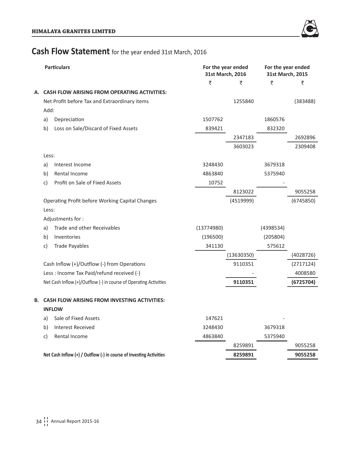

|    |       | <b>Particulars</b>                                                  | For the year ended<br>31st March, 2016 |            | For the year ended<br>31st March, 2015 |           |  |
|----|-------|---------------------------------------------------------------------|----------------------------------------|------------|----------------------------------------|-----------|--|
|    |       |                                                                     | ₹                                      | ₹          | ₹                                      | ₹         |  |
| А. |       | <b>CASH FLOW ARISING FROM OPERATING ACTIVITIES:</b>                 |                                        |            |                                        |           |  |
|    |       | Net Profit before Tax and Extraordinary items                       |                                        | 1255840    |                                        | (383488)  |  |
|    | Add:  |                                                                     |                                        |            |                                        |           |  |
|    | a)    | Depreciation                                                        | 1507762                                |            | 1860576                                |           |  |
|    | b)    | Loss on Sale/Discard of Fixed Assets                                | 839421                                 |            | 832320                                 |           |  |
|    |       |                                                                     |                                        | 2347183    |                                        | 2692896   |  |
|    |       |                                                                     |                                        | 3603023    |                                        | 2309408   |  |
|    | Less: |                                                                     |                                        |            |                                        |           |  |
|    | a)    | Interest Income                                                     | 3248430                                |            | 3679318                                |           |  |
|    | b)    | Rental Income                                                       | 4863840                                |            | 5375940                                |           |  |
|    | c)    | Profit on Sale of Fixed Assets                                      | 10752                                  |            |                                        |           |  |
|    |       |                                                                     |                                        | 8123022    |                                        | 9055258   |  |
|    |       | Operating Profit before Working Capital Changes                     |                                        | (4519999)  |                                        | (6745850) |  |
|    | Less: |                                                                     |                                        |            |                                        |           |  |
|    |       | Adjustments for :                                                   |                                        |            |                                        |           |  |
|    | a)    | Trade and other Receivables                                         | (13774980)                             |            | (4398534)                              |           |  |
|    | b)    | Inventories                                                         | (196500)                               |            | (205804)                               |           |  |
|    | c)    | <b>Trade Payables</b>                                               | 341130                                 |            | 575612                                 |           |  |
|    |       |                                                                     |                                        | (13630350) |                                        | (4028726) |  |
|    |       | Cash Inflow (+)/Outflow (-) from Operations                         |                                        | 9110351    |                                        | (2717124) |  |
|    |       | Less : Income Tax Paid/refund received (-)                          |                                        |            |                                        | 4008580   |  |
|    |       | Net Cash Inflow (+)/Outflow (-) in course of Operating Activities   |                                        | 9110351    |                                        | (6725704) |  |
| В. |       | <b>CASH FLOW ARISING FROM INVESTING ACTIVITIES:</b>                 |                                        |            |                                        |           |  |
|    |       | <b>INFLOW</b>                                                       |                                        |            |                                        |           |  |
|    | a)    | Sale of Fixed Assets                                                | 147621                                 |            |                                        |           |  |
|    | b)    | <b>Interest Received</b>                                            | 3248430                                |            | 3679318                                |           |  |
|    | C)    | Rental Income                                                       | 4863840                                |            | 5375940                                |           |  |
|    |       |                                                                     |                                        | 8259891    |                                        | 9055258   |  |
|    |       | Net Cash Inflow (+) / Outflow (-) in course of Investing Activities |                                        | 8259891    |                                        | 9055258   |  |
|    |       |                                                                     |                                        |            |                                        |           |  |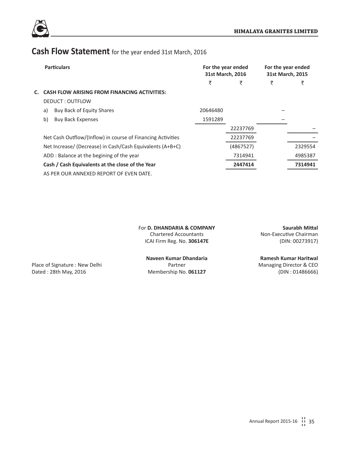

# **Cash Flow Statement** for the year ended 31st March, 2016

| <b>Particulars</b>                                          | For the year ended<br>31st March, 2016 |           | For the year ended<br>31st March, 2015 |         |  |
|-------------------------------------------------------------|----------------------------------------|-----------|----------------------------------------|---------|--|
|                                                             | ₹                                      | ₹         | ₹                                      | ₹       |  |
| <b>CASH FLOW ARISING FROM FINANCING ACTIVITIES:</b>         |                                        |           |                                        |         |  |
| DEDUCT: OUTFLOW                                             |                                        |           |                                        |         |  |
| Buy Back of Equity Shares<br>a)                             | 20646480                               |           |                                        |         |  |
| b)<br><b>Buy Back Expenses</b>                              | 1591289                                |           |                                        |         |  |
|                                                             |                                        | 22237769  |                                        |         |  |
| Net Cash Outflow/(Inflow) in course of Financing Activities |                                        | 22237769  |                                        |         |  |
| Net Increase/ (Decrease) in Cash/Cash Equivalents (A+B+C)   |                                        | (4867527) |                                        | 2329554 |  |
| ADD: Balance at the begining of the year                    |                                        | 7314941   |                                        | 4985387 |  |
| Cash / Cash Equivalents at the close of the Year            |                                        | 2447414   |                                        | 7314941 |  |
| AS PER OUR ANNEXED REPORT OF EVEN DATE.                     |                                        |           |                                        |         |  |

For **D. DHANDARIA & COMPANY** Saurabh Mittal<br>Chartered Accountants **Saurabh Mittal** 

Non-Executive Chairman ICAI Firm Reg. No. **306147E** (DIN: 00273917)

Place of Signature : New Delhi Dated : 28th May, 2016 Membership No. **061127** (DIN : 01486666)

**Naveen Kumar Dhandaria Ramesh Kumar Haritwal**<br>Partner **Partner Managing Director & CEO**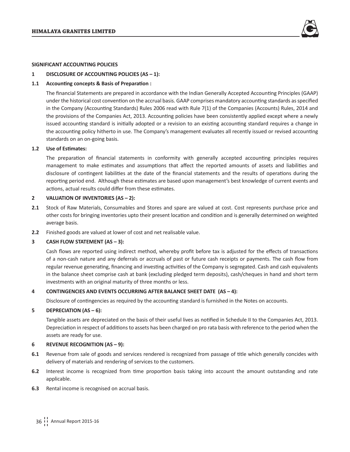

#### **SIGNIFICANT ACCOUNTING POLICIES**

#### **1 DISCLOSURE OF ACCOUNTING POLICIES (AS – 1):**

#### **1.1 AccounƟng concepts & Basis of PreparaƟon :**

The financial Statements are prepared in accordance with the Indian Generally Accepted Accounting Principles (GAAP) under the historical cost convention on the accrual basis. GAAP comprises mandatory accounting standards as specified in the Company (Accounting Standards) Rules 2006 read with Rule 7(1) of the Companies (Accounts) Rules, 2014 and the provisions of the Companies Act, 2013. Accounting policies have been consistently applied except where a newly issued accounting standard is initially adopted or a revision to an existing accounting standard requires a change in the accounting policy hitherto in use. The Company's management evaluates all recently issued or revised accounting standards on an on-going basis.

#### **1.2 Use of EsƟmates:**

The preparation of financial statements in conformity with generally accepted accounting principles requires management to make estimates and assumptions that affect the reported amounts of assets and liabilities and disclosure of contingent liabilities at the date of the financial statements and the results of operations during the reporting period end. Although these estimates are based upon management's best knowledge of current events and actions, actual results could differ from these estimates.

#### **2 VALUATION OF INVENTORIES (AS – 2):**

- **2.1** Stock of Raw Materials, Consumables and Stores and spare are valued at cost. Cost represents purchase price and other costs for bringing inventories upto their present location and condition and is generally determined on weighted average basis.
- **2.2** Finished goods are valued at lower of cost and net realisable value.

#### **3 CASH FLOW STATEMENT (AS – 3):**

Cash flows are reported using indirect method, whereby profit before tax is adjusted for the effects of transactions of a non-cash nature and any deferrals or accruals of past or future cash receipts or payments. The cash flow from regular revenue generating, financing and investing activities of the Company is segregated. Cash and cash equivalents in the balance sheet comprise cash at bank (excluding pledged term deposits), cash/cheques in hand and short term investments with an original maturity of three months or less.

#### **4 CONTINGENCIES AND EVENTS OCCURRING AFTER BALANCE SHEET DATE (AS – 4):**

Disclosure of contingencies as required by the accounting standard is furnished in the Notes on accounts.

#### **5 DEPRECIATION (AS – 6):**

Tangible assets are depreciated on the basis of their useful lives as notified in Schedule II to the Companies Act, 2013. Depreciation in respect of additions to assets has been charged on pro rata basis with reference to the period when the assets are ready for use.

#### **6 REVENUE RECOGNITION (AS – 9):**

- **6.1** Revenue from sale of goods and services rendered is recognized from passage of title which generally concides with delivery of materials and rendering of services to the customers.
- **6.2** Interest income is recognized from time proportion basis taking into account the amount outstanding and rate applicable.
- **6.3** Rental income is recognised on accrual basis.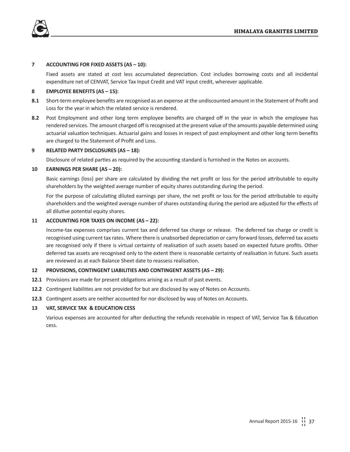



#### **7 ACCOUNTING FOR FIXED ASSETS (AS – 10):**

Fixed assets are stated at cost less accumulated depreciation. Cost includes borrowing costs and all incidental expenditure net of CENVAT, Service Tax Input Credit and VAT input credit, wherever applicable.

#### **8 EMPLOYEE BENEFITS (AS – 15):**

- 8.1 Short-term employee benefits are recognised as an expense at the undiscounted amount in the Statement of Profit and Loss for the year in which the related service is rendered.
- 8.2 Post Employment and other long term employee benefits are charged off in the year in which the employee has rendered services. The amount charged off is recognised at the present value of the amounts payable determined using actuarial valuation techniques. Actuarial gains and losses in respect of past employment and other long term benefits are charged to the Statement of Profit and Loss.

#### **9 RELATED PARTY DISCLOSURES (AS – 18):**

Disclosure of related parties as required by the accounting standard is furnished in the Notes on accounts.

#### **10 EARNINGS PER SHARE (AS – 20):**

Basic earnings (loss) per share are calculated by dividing the net profit or loss for the period attributable to equity shareholders by the weighted average number of equity shares outstanding during the period.

For the purpose of calculating diluted earnings per share, the net profit or loss for the period attributable to equity shareholders and the weighted average number of shares outstanding during the period are adjusted for the eīects of all dilutive potential equity shares.

#### **11 ACCOUNTING FOR TAXES ON INCOME (AS – 22):**

 Income-tax expenses comprises current tax and deferred tax charge or release. The deferred tax charge or credit is recognised using current tax rates. Where there is unabsorbed depreciation or carry forward losses, deferred tax assets are recognised only if there is virtual certainty of realisation of such assets based on expected future profits. Other deferred tax assets are recognised only to the extent there is reasonable certainty of realisation in future. Such assets are reviewed as at each Balance Sheet date to reassess realisation.

#### **12 PROVISIONS, CONTINGENT LIABILITIES AND CONTINGENT ASSETS (AS – 29):**

- **12.1** Provisions are made for present obligations arising as a result of past events.
- **12.2** Contingent liabilities are not provided for but are disclosed by way of Notes on Accounts.
- 12.3 Contingent assets are neither accounted for nor disclosed by way of Notes on Accounts.

#### **13 VAT, SERVICE TAX & EDUCATION CESS**

Various expenses are accounted for after deducting the refunds receivable in respect of VAT, Service Tax & Education cess.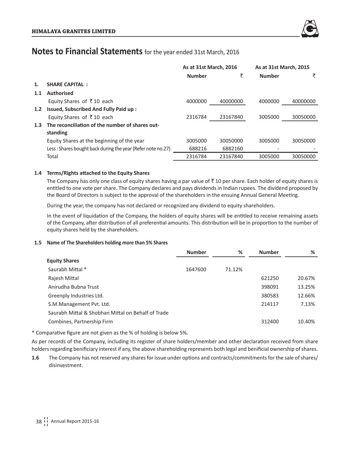|                  |                                                             | As at 31st March, 2016 |          | As at 31st March, 2015 |          |
|------------------|-------------------------------------------------------------|------------------------|----------|------------------------|----------|
|                  |                                                             | <b>Number</b>          | ₹        | <b>Number</b>          |          |
| 1.               | <b>SHARE CAPITAL:</b>                                       |                        |          |                        |          |
| 1.1              | <b>Authorised</b>                                           |                        |          |                        |          |
|                  | Equity Shares of ₹10 each                                   | 4000000                | 40000000 | 4000000                | 40000000 |
| 1.2 <sub>2</sub> | Issued, Subscribed And Fully Paid up:                       |                        |          |                        |          |
|                  | Equity Shares of ₹10 each                                   | 2316784                | 23167840 | 3005000                | 30050000 |
| 1.3              | The reconciliation of the number of shares out-             |                        |          |                        |          |
|                  | standing                                                    |                        |          |                        |          |
|                  | Equity Shares at the beginning of the year                  | 3005000                | 30050000 | 3005000                | 30050000 |
|                  | Less: Shares bought back during the year (Refer note no.27) | 688216                 | 6882160  |                        |          |
|                  | Total                                                       | 2316784                | 23167840 | 3005000                | 30050000 |

#### 1.4 Terms/Rights attached to the Equity Shares

The Company has only one class of equity shares having a par value of  $\bar{\tau}$  10 per share. Each holder of equity shares is entitled to one vote per share. The Company declares and pays dividends in Indian rupees. The dividend proposed by the Board of Directors is subject to the approval of the shareholders in the ensuing Annual General Meeting.

During the year, the company has not declared or recognized any dividend to equity shareholders.

In the event of liquidation of the Company, the holders of equity shares will be entitled to receive remaining assets of the Company, after distribution of all preferential amounts. This distribution will be in proportion to the number of equity shares held by the shareholders.

#### **1.5 Name of The Shareholders holding more than 5% Shares**

|                                                    | <b>Number</b> | %      | <b>Number</b> | %      |
|----------------------------------------------------|---------------|--------|---------------|--------|
| <b>Equity Shares</b>                               |               |        |               |        |
| Saurabh Mittal *                                   | 1647600       | 71.12% |               |        |
| Rajesh Mittal                                      |               |        | 621250        | 20.67% |
| Anirudha Bubna Trust                               |               |        | 398091        | 13.25% |
| Greenply Industries Ltd.                           |               |        | 380583        | 12.66% |
| S.M.Management Pvt. Ltd.                           |               |        | 214117        | 7.13%  |
| Saurabh Mittal & Shobhan Mittal on Behalf of Trade |               |        |               |        |
| Combines, Partnership Firm                         |               |        | 312400        | 10.40% |

\* Comparative figure are not given as the % of holding is below 5%.

As per records of the Company, including its register of share holders/member and other declaration received from share holders regarding benificiary interest if any, the above shareholding represents both legal and benificial ownership of shares.

1.6 The Company has not reserved any shares for issue under options and contracts/commitments for the sale of shares/ disinvestment.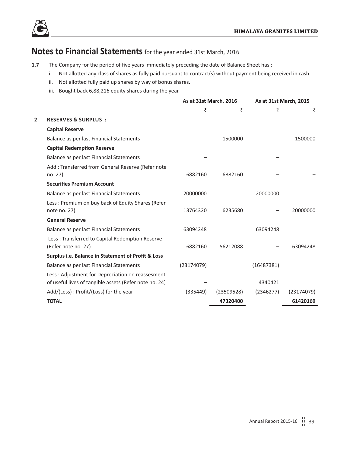



1.7 The Company for the period of five years immediately preceding the date of Balance Sheet has :

- i. Not allotted any class of shares as fully paid pursuant to contract(s) without payment being received in cash.
- ii. Not allotted fully paid up shares by way of bonus shares.
- iii. Bought back 6,88,216 equity shares during the year.

|   |                                                                                                            | As at 31st March, 2016 |            | As at 31st March, 2015 |            |
|---|------------------------------------------------------------------------------------------------------------|------------------------|------------|------------------------|------------|
|   |                                                                                                            | ₹                      | ₹          | ₹                      | ₹          |
| 2 | <b>RESERVES &amp; SURPLUS:</b>                                                                             |                        |            |                        |            |
|   | <b>Capital Reserve</b>                                                                                     |                        |            |                        |            |
|   | Balance as per last Financial Statements                                                                   |                        | 1500000    |                        | 1500000    |
|   | <b>Capital Redemption Reserve</b>                                                                          |                        |            |                        |            |
|   | Balance as per last Financial Statements                                                                   |                        |            |                        |            |
|   | Add: Transferred from General Reserve (Refer note<br>no. 27)                                               | 6882160                | 6882160    |                        |            |
|   | <b>Securities Premium Account</b>                                                                          |                        |            |                        |            |
|   | Balance as per last Financial Statements                                                                   | 20000000               |            | 20000000               |            |
|   | Less: Premium on buy back of Equity Shares (Refer<br>note no. 27)                                          | 13764320               | 6235680    |                        | 20000000   |
|   | <b>General Reserve</b>                                                                                     |                        |            |                        |            |
|   | Balance as per last Financial Statements                                                                   | 63094248               |            | 63094248               |            |
|   | Less: Transferred to Capital Redemption Reserve<br>(Refer note no. 27)                                     | 6882160                | 56212088   |                        | 63094248   |
|   | Surplus i.e. Balance in Statement of Profit & Loss                                                         |                        |            |                        |            |
|   | Balance as per last Financial Statements                                                                   | (23174079)             |            | (16487381)             |            |
|   | Less: Adjustment for Depreciation on reassesment<br>of useful lives of tangible assets (Refer note no. 24) |                        |            | 4340421                |            |
|   | Add/(Less): Profit/(Loss) for the year                                                                     | (335449)               | (23509528) | (2346277)              | (23174079) |
|   | <b>TOTAL</b>                                                                                               |                        | 47320400   |                        | 61420169   |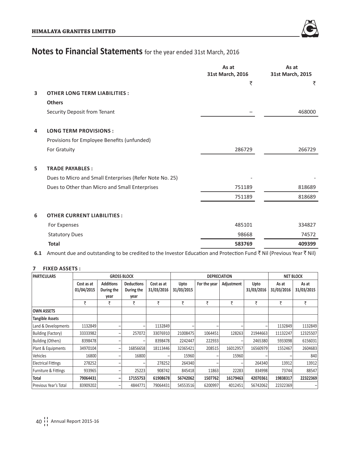|                         |                                                         | As at<br>31st March, 2016 | As at<br>31st March, 2015 |
|-------------------------|---------------------------------------------------------|---------------------------|---------------------------|
|                         |                                                         | ₹                         | ₹                         |
| $\overline{\mathbf{3}}$ | <b>OTHER LONG TERM LIABILITIES:</b>                     |                           |                           |
|                         | <b>Others</b>                                           |                           |                           |
|                         | Security Deposit from Tenant                            |                           | 468000                    |
| 4                       | <b>LONG TERM PROVISIONS:</b>                            |                           |                           |
|                         | Provisions for Employee Benefits (unfunded)             |                           |                           |
|                         | For Gratuity                                            | 286729                    | 266729                    |
| 5                       | <b>TRADE PAYABLES:</b>                                  |                           |                           |
|                         | Dues to Micro and Small Enterprises (Refer Note No. 25) |                           |                           |
|                         | Dues to Other than Micro and Small Enterprises          | 751189                    | 818689                    |
|                         |                                                         | 751189                    | 818689                    |
| 6                       | <b>OTHER CURRENT LIABILITIES:</b>                       |                           |                           |
|                         | For Expenses                                            | 485101                    | 334827                    |
|                         | <b>Statutory Dues</b>                                   | 98668                     | 74572                     |
|                         | <b>Total</b>                                            | 583769                    | 409399                    |

**6.1** Amount due and outstanding to be credited to the Investor Education and Protection Fund ₹ Nil (Previous Year ₹ Nil)

#### **7 FIXED ASSETS :**

| <b>PARTICULARS</b>         |                          |                                        | <b>GROSS BLOCK</b>                      |                          |                    | <b>DEPRECIATION</b> |            |                    |                     | <b>NET BLOCK</b>    |  |  |
|----------------------------|--------------------------|----------------------------------------|-----------------------------------------|--------------------------|--------------------|---------------------|------------|--------------------|---------------------|---------------------|--|--|
|                            | Cost as at<br>01/04/2015 | <b>Additions</b><br>During the<br>year | <b>Deductions</b><br>During the<br>year | Cost as at<br>31/03/2016 | Upto<br>31/03/2015 | For the year        | Adjustment | Upto<br>31/03/2016 | As at<br>31/03/2016 | As at<br>31/03/2015 |  |  |
|                            | ₹                        | ₹                                      | ₹                                       | ₹                        | ₹                  | ₹                   | ₹          | ₹                  | ₹                   | ₹                   |  |  |
| <b>OWN ASSETS</b>          |                          |                                        |                                         |                          |                    |                     |            |                    |                     |                     |  |  |
| <b>Tangible Assets</b>     |                          |                                        |                                         |                          |                    |                     |            |                    |                     |                     |  |  |
| Land & Developments        | 1132849                  |                                        |                                         | 1132849                  |                    |                     |            |                    | 1132849             | 1132849             |  |  |
| <b>Building (Factory)</b>  | 33333982                 |                                        | 257072                                  | 33076910                 | 21008475           | 1064451             | 128263     | 21944663           | 11132247            | 12325507            |  |  |
| Building (Others)          | 8398478                  |                                        |                                         | 8398478                  | 2242447            | 222933              |            | 2465380            | 5933098             | 6156031             |  |  |
| Plant & Equipments         | 34970104                 | -                                      | 16856658                                | 18113446                 | 32365421           | 208515              | 16012957   | 16560979           | 1552467             | 2604683             |  |  |
| Vehicles                   | 16800                    |                                        | 16800                                   |                          | 15960              |                     | 15960      |                    |                     | 840                 |  |  |
| <b>Electrical Fittings</b> | 278252                   |                                        |                                         | 278252                   | 264340             |                     |            | 264340             | 13912               | 13912               |  |  |
| Furniture & Fittings       | 933965                   |                                        | 25223                                   | 908742                   | 845418             | 11863               | 22283      | 834998             | 73744               | 88547               |  |  |
| Total                      | 79064431                 | -                                      | 17155753                                | 61908678                 | 56742062           | 1507762             | 16179463   | 42070361           | 19838317            | 22322369            |  |  |
| Previous Year's Total      | 83909202                 |                                        | 4844771                                 | 79064431                 | 54553516           | 6200997             | 4012451    | 56742062           | 22322369            |                     |  |  |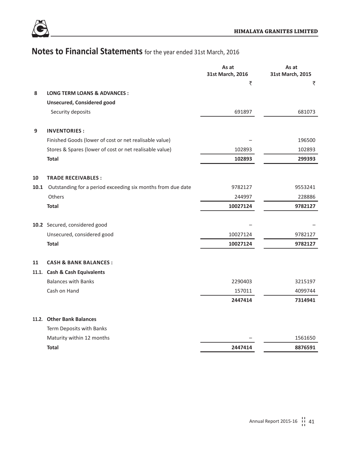

|       |                                                             | As at            | As at            |
|-------|-------------------------------------------------------------|------------------|------------------|
|       |                                                             | 31st March, 2016 | 31st March, 2015 |
|       |                                                             | ₹                | ₹                |
| 8     | <b>LONG TERM LOANS &amp; ADVANCES:</b>                      |                  |                  |
|       | <b>Unsecured, Considered good</b>                           |                  |                  |
|       | Security deposits                                           | 691897           | 681073           |
| 9     | <b>INVENTORIES:</b>                                         |                  |                  |
|       | Finished Goods (lower of cost or net realisable value)      |                  | 196500           |
|       | Stores & Spares (lower of cost or net realisable value)     | 102893           | 102893           |
|       | <b>Total</b>                                                | 102893           | 299393           |
| 10    | <b>TRADE RECEIVABLES:</b>                                   |                  |                  |
| 10.1  | Outstanding for a period exceeding six months from due date | 9782127          | 9553241          |
|       | Others                                                      | 244997           | 228886           |
|       | <b>Total</b>                                                | 10027124         | 9782127          |
|       | 10.2 Secured, considered good                               |                  |                  |
|       | Unsecured, considered good                                  | 10027124         | 9782127          |
|       | <b>Total</b>                                                |                  |                  |
|       |                                                             | 10027124         | 9782127          |
| 11    | <b>CASH &amp; BANK BALANCES:</b>                            |                  |                  |
| 11.1. | <b>Cash &amp; Cash Equivalents</b>                          |                  |                  |
|       | <b>Balances with Banks</b>                                  | 2290403          | 3215197          |
|       | Cash on Hand                                                | 157011           | 4099744          |
|       |                                                             | 2447414          | 7314941          |
|       | 11.2. Other Bank Balances                                   |                  |                  |
|       | Term Deposits with Banks                                    |                  |                  |
|       | Maturity within 12 months                                   |                  | 1561650          |
|       | Total                                                       | 2447414          | 8876591          |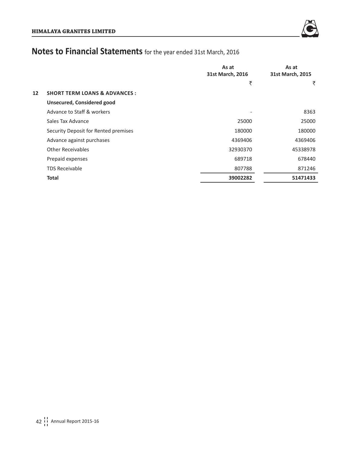|    |                                         | As at<br>31st March, 2016 | As at<br>31st March, 2015 |
|----|-----------------------------------------|---------------------------|---------------------------|
|    |                                         | ₹                         | ₹                         |
| 12 | <b>SHORT TERM LOANS &amp; ADVANCES:</b> |                           |                           |
|    | <b>Unsecured, Considered good</b>       |                           |                           |
|    | Advance to Staff & workers              |                           | 8363                      |
|    | Sales Tax Advance                       | 25000                     | 25000                     |
|    | Security Deposit for Rented premises    | 180000                    | 180000                    |
|    | Advance against purchases               | 4369406                   | 4369406                   |
|    | <b>Other Receivables</b>                | 32930370                  | 45338978                  |
|    | Prepaid expenses                        | 689718                    | 678440                    |
|    | <b>TDS Receivable</b>                   | 807788                    | 871246                    |
|    | <b>Total</b>                            | 39002282                  | 51471433                  |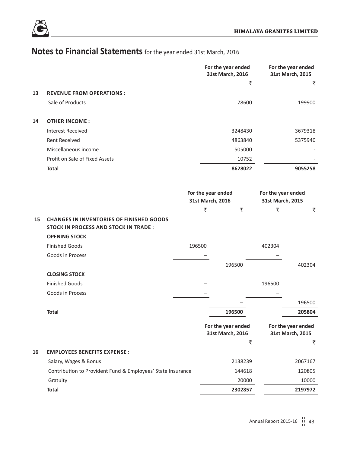

|    |                                                                                                |        |                    | For the year ended<br>31st March, 2016 |                    | For the year ended<br>31st March, 2015 |
|----|------------------------------------------------------------------------------------------------|--------|--------------------|----------------------------------------|--------------------|----------------------------------------|
|    |                                                                                                |        |                    | ₹                                      |                    | ₹                                      |
| 13 | <b>REVENUE FROM OPERATIONS:</b>                                                                |        |                    |                                        |                    |                                        |
|    | Sale of Products                                                                               |        |                    | 78600                                  |                    | 199900                                 |
| 14 | <b>OTHER INCOME:</b>                                                                           |        |                    |                                        |                    |                                        |
|    | <b>Interest Received</b>                                                                       |        |                    | 3248430                                |                    | 3679318                                |
|    | Rent Received                                                                                  |        |                    | 4863840                                |                    | 5375940                                |
|    | Miscellaneous income                                                                           |        |                    | 505000                                 |                    |                                        |
|    | Profit on Sale of Fixed Assets                                                                 |        |                    | 10752                                  |                    |                                        |
|    | <b>Total</b>                                                                                   |        |                    | 8628022                                |                    | 9055258                                |
|    |                                                                                                |        | For the year ended |                                        | For the year ended |                                        |
|    |                                                                                                |        | 31st March, 2016   |                                        | 31st March, 2015   |                                        |
| 15 | <b>CHANGES IN INVENTORIES OF FINISHED GOODS</b><br><b>STOCK IN PROCESS AND STOCK IN TRADE:</b> |        | ₹                  | ₹                                      | ₹                  | ₹                                      |
|    | <b>OPENING STOCK</b>                                                                           |        |                    |                                        |                    |                                        |
|    | <b>Finished Goods</b>                                                                          | 196500 |                    |                                        | 402304             |                                        |
|    | Goods in Process                                                                               |        |                    |                                        |                    |                                        |
|    |                                                                                                |        |                    | 196500                                 |                    | 402304                                 |
|    | <b>CLOSING STOCK</b>                                                                           |        |                    |                                        |                    |                                        |
|    | <b>Finished Goods</b>                                                                          |        |                    |                                        | 196500             |                                        |
|    | Goods in Process                                                                               |        |                    |                                        |                    |                                        |
|    |                                                                                                |        |                    |                                        |                    | 196500                                 |
|    | <b>Total</b>                                                                                   |        |                    | 196500                                 |                    | 205804                                 |
|    |                                                                                                |        |                    | For the year ended<br>31st March, 2016 |                    | For the year ended<br>31st March, 2015 |
|    |                                                                                                |        |                    | ₹                                      |                    | ₹                                      |
| 16 | <b>EMPLOYEES BENEFITS EXPENSE:</b>                                                             |        |                    |                                        |                    |                                        |
|    | Salary, Wages & Bonus                                                                          |        |                    | 2138239                                |                    | 2067167                                |
|    | Contribution to Provident Fund & Employees' State Insurance                                    |        |                    | 144618                                 |                    | 120805                                 |
|    | Gratuity                                                                                       |        |                    | 20000                                  |                    | 10000                                  |
|    | <b>Total</b>                                                                                   |        |                    | 2302857                                |                    | 2197972                                |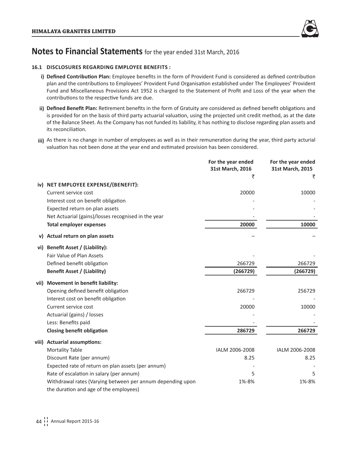

#### **16.1 DISCLOSURES REGARDING EMPLOYEE BENEFITS :**

- **i) Defined Contribution Plan:** Employee benefits in the form of Provident Fund is considered as defined contribution plan and the contributions to Employees' Provident Fund Organisation established under The Employees' Provident Fund and Miscellaneous Provisions Act 1952 is charged to the Statement of Profit and Loss of the year when the contributions to the respective funds are due.
- **ii) Defined Benefit Plan:** Retirement benefits in the form of Gratuity are considered as defined benefit obligations and is provided for on the basis of third party actuarial valuation, using the projected unit credit method, as at the date of the Balance Sheet. As the Company has not funded its liability, it has nothing to disclose regarding plan assets and its reconciliation.
- **iii)** As there is no change in number of employees as well as in their remuneration during the year, third party acturial valuation has not been done at the year end and estimated provision has been considered.

|      |                                                            | For the year ended<br>31st March, 2016 | For the year ended<br>31st March, 2015 |
|------|------------------------------------------------------------|----------------------------------------|----------------------------------------|
|      |                                                            | ₹                                      | ₹                                      |
|      | iv) NET EMPLOYEE EXPENSE/(BENEFIT):                        |                                        |                                        |
|      | Current service cost                                       | 20000                                  | 10000                                  |
|      | Interest cost on benefit obligation                        |                                        |                                        |
|      | Expected return on plan assets                             |                                        |                                        |
|      | Net Actuarial (gains)/losses recognised in the year        |                                        |                                        |
|      | <b>Total employer expenses</b>                             | 20000                                  | 10000                                  |
| v)   | Actual return on plan assets                               |                                        |                                        |
| vi)  | <b>Benefit Asset / (Liability):</b>                        |                                        |                                        |
|      | Fair Value of Plan Assets                                  |                                        |                                        |
|      | Defined benefit obligation                                 | 266729                                 | 266729                                 |
|      | <b>Benefit Asset / (Liability)</b>                         | (266729)                               | (266729)                               |
| vii) | <b>Movement in benefit liability:</b>                      |                                        |                                        |
|      | Opening defined benefit obligation                         | 266729                                 | 256729                                 |
|      | Interest cost on benefit obligation                        |                                        |                                        |
|      | Current service cost                                       | 20000                                  | 10000                                  |
|      | Actuarial (gains) / losses                                 |                                        |                                        |
|      | Less: Benefits paid                                        |                                        |                                        |
|      | <b>Closing benefit obligation</b>                          | 286729                                 | 266729                                 |
|      | viii) Actuarial assumptions:                               |                                        |                                        |
|      | <b>Mortality Table</b>                                     | IALM 2006-2008                         | IALM 2006-2008                         |
|      | Discount Rate (per annum)                                  | 8.25                                   | 8.25                                   |
|      | Expected rate of return on plan assets (per annum)         |                                        |                                        |
|      | Rate of escalation in salary (per annum)                   | 5                                      | 5                                      |
|      | Withdrawal rates (Varying between per annum depending upon | 1%-8%                                  | 1%-8%                                  |
|      | the duration and age of the employees)                     |                                        |                                        |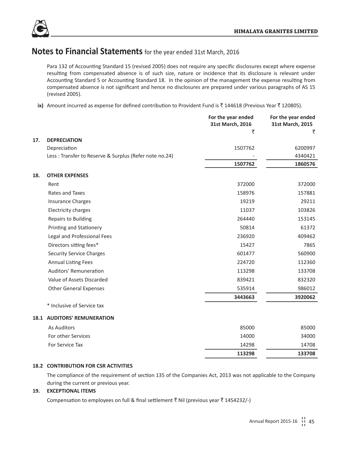

Para 132 of Accounting Standard 15 (revised 2005) does not require any specific disclosures except where expense resulting from compensated absence is of such size, nature or incidence that its disclosure is relevant under Accounting Standard 5 or Accounting Standard 18. In the opinion of the management the expense resulting from compensated absence is not significant and hence no disclosures are prepared under various paragraphs of AS 15 (revised 2005).

ix) Amount incurred as expense for defined contribution to Provident Fund is  $\bar{\tau}$  144618 (Previous Year  $\bar{\tau}$  120805).

|     |                                                        | For the year ended<br>31st March, 2016 | For the year ended<br>31st March, 2015 |
|-----|--------------------------------------------------------|----------------------------------------|----------------------------------------|
|     |                                                        | ₹                                      | ₹                                      |
| 17. | <b>DEPRECIATION</b>                                    |                                        |                                        |
|     | Depreciation                                           | 1507762                                | 6200997                                |
|     | Less: Transfer to Reserve & Surplus (Refer note no.24) |                                        | 4340421                                |
|     |                                                        | 1507762                                | 1860576                                |
| 18. | <b>OTHER EXPENSES</b>                                  |                                        |                                        |
|     | Rent                                                   | 372000                                 | 372000                                 |
|     | Rates and Taxes                                        | 158976                                 | 157881                                 |
|     | <b>Insurance Charges</b>                               | 19219                                  | 29211                                  |
|     | Electricity charges                                    | 11037                                  | 103826                                 |
|     | Repairs to Building                                    | 264440                                 | 153145                                 |
|     | <b>Printing and Stationery</b>                         | 50814                                  | 61372                                  |
|     | Legal and Professional Fees                            | 236920                                 | 409462                                 |
|     | Directors sitting fees*                                | 15427                                  | 7865                                   |
|     | <b>Security Service Charges</b>                        | 601477                                 | 560900                                 |
|     | <b>Annual Listing Fees</b>                             | 224720                                 | 112360                                 |
|     | Auditors' Remuneration                                 | 113298                                 | 133708                                 |
|     | Value of Assets Discarded                              | 839421                                 | 832320                                 |
|     | <b>Other General Expenses</b>                          | 535914                                 | 986012                                 |
|     |                                                        | 3443663                                | 3920062                                |
|     | * Inclusive of Service tax                             |                                        |                                        |
|     | <b>18.1 AUDITORS' REMUNERATION</b>                     |                                        |                                        |
|     | <b>As Auditors</b>                                     | 85000                                  | 85000                                  |
|     | For other Services                                     | 14000                                  | 34000                                  |
|     | For Service Tax                                        | 14298                                  | 14708                                  |
|     |                                                        | 113298                                 | 133708                                 |
|     |                                                        |                                        |                                        |

#### **18.2 CONTRIBUTION FOR CSR ACTIVITIES**

The compliance of the requirement of section 135 of the Companies Act, 2013 was not applicable to the Company during the current or previous year.

#### **19. EXCEPTIONAL ITEMS**

Compensation to employees on full & final settlement  $\bar{\tau}$  Nil (previous year  $\bar{\tau}$  1454232/-)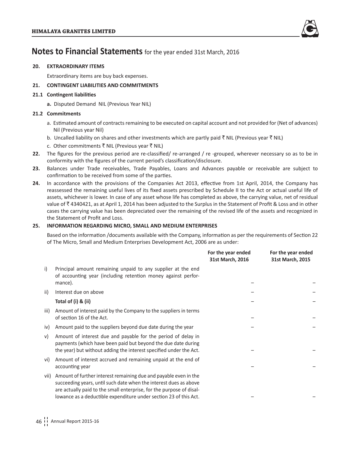

#### **20. EXTRAORDINARY ITEMS**

Extraordinary items are buy back expenses.

#### **21. CONTINGENT LIABILITIES AND COMMITMENTS**

#### **21.1 ConƟngent liabiliƟes**

**a.** Disputed Demand NIL (Previous Year NIL)

#### **21.2 Commitments**

- a. Estimated amount of contracts remaining to be executed on capital account and not provided for (Net of advances) Nil (Previous year Nil)
- b. Uncalled liability on shares and other investments which are partly paid  $\bar{\tau}$  NIL (Previous year  $\bar{\tau}$  NIL)
- c. Other commitments  $\bar{\tau}$  NIL (Previous year  $\bar{\tau}$  NIL)
- 22. The figures for the previous period are re-classified/ re-arranged / re -grouped, wherever necessary so as to be in conformity with the figures of the current period's classification/disclosure.
- **23.** Balances under Trade receivables, Trade Payables, Loans and Advances payable or receivable are subject to confirmation to be received from some of the parties.
- **24.** In accordance with the provisions of the Companies Act 2013, effective from 1st April, 2014, the Company has reassessed the remaining useful lives of its fixed assets prescribed by Schedule II to the Act or actual useful life of assets, whichever is lower. In case of any asset whose life has completed as above, the carrying value, net of residual value of  $\bar{\tau}$  4340421, as at April 1, 2014 has been adjusted to the Surplus in the Statement of Profit & Loss and in other cases the carrying value has been depreciated over the remaining of the revised life of the assets and recognized in the Statement of Profit and Loss.

#### **25. INFORMATION REGARDING MICRO, SMALL AND MEDIUM ENTERPRISES**

Based on the information /documents available with the Company, information as per the requirements of Section 22 of The Micro, Small and Medium Enterprises Development Act, 2006 are as under:

|      |                                                                                                                                                                                                                                                                                    | For the year ended<br>31st March, 2016 | For the year ended<br>31st March, 2015 |
|------|------------------------------------------------------------------------------------------------------------------------------------------------------------------------------------------------------------------------------------------------------------------------------------|----------------------------------------|----------------------------------------|
| i)   | Principal amount remaining unpaid to any supplier at the end<br>of accounting year (including retention money against perfor-<br>mance).                                                                                                                                           |                                        |                                        |
| ii)  | Interest due on above                                                                                                                                                                                                                                                              |                                        |                                        |
|      | Total of (i) & (ii)                                                                                                                                                                                                                                                                |                                        |                                        |
| iii) | Amount of interest paid by the Company to the suppliers in terms<br>of section 16 of the Act.                                                                                                                                                                                      |                                        |                                        |
| iv)  | Amount paid to the suppliers beyond due date during the year                                                                                                                                                                                                                       |                                        |                                        |
| v)   | Amount of interest due and payable for the period of delay in<br>payments (which have been paid but beyond the due date during<br>the year) but without adding the interest specified under the Act.                                                                               |                                        |                                        |
| vi)  | Amount of interest accrued and remaining unpaid at the end of<br>accounting year                                                                                                                                                                                                   |                                        |                                        |
| vii) | Amount of further interest remaining due and payable even in the<br>succeeding years, until such date when the interest dues as above<br>are actually paid to the small enterprise, for the purpose of disal-<br>lowance as a deductible expenditure under section 23 of this Act. |                                        |                                        |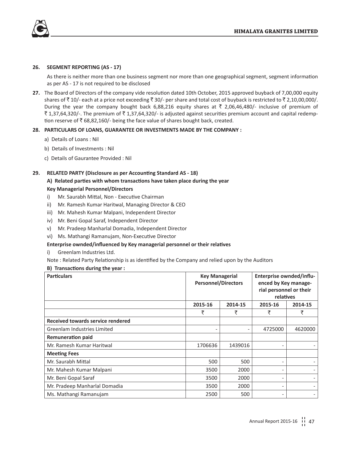

#### **26. SEGMENT REPORTING (AS - 17)**

As there is neither more than one business segment nor more than one geographical segment, segment information as per AS - 17 is not required to be disclosed

**27.** The Board of Directors of the company vide resolution dated 10th October, 2015 approved buyback of 7,00,000 equity shares of  $\bar{\tau}$  10/- each at a price not exceeding  $\bar{\tau}$  30/- per share and total cost of buyback is restricted to  $\bar{\tau}$  2,10,00,000/. During the year the company bought back 6,88,216 equity shares at ₹ 2,06,46,480/- inclusive of premium of  $\bar{\zeta}$  1,37,64,320/-. The premium of  $\bar{\zeta}$  1,37,64,320/- is adjusted against securities premium account and capital redemption reserve of  $\bar{\tau}$  68,82,160/- being the face value of shares bought back, created.

#### **28. PARTICULARS OF LOANS, GUARANTEE OR INVESTMENTS MADE BY THE COMPANY :**

- a) Details of Loans : Nil
- b) Details of Investments : Nil
- c) Details of Gaurantee Provided : Nil

#### **29. RELATED PARTY (Disclosure as per Accounting Standard AS - 18)**

A) Related parties with whom transactions have taken place during the year **Key Managerial Personnel/Directors**

- i) Mr. Saurabh Mittal, Non Executive Chairman
- ii) Mr. Ramesh Kumar Haritwal, Managing Director & CEO
- iii) Mr. Mahesh Kumar Malpani, Independent Director
- iv) Mr. Beni Gopal Saraf, Independent Director
- v) Mr. Pradeep Manharlal Domadia, Independent Director
- vi) Ms. Mathangi Ramanujam, Non-Executive Director

#### Enterprise ownded/influenced by Key managerial personnel or their relatives

i) Greenlam Industries Ltd.

Note : Related Party Relationship is as identified by the Company and relied upon by the Auditors

#### **B) TransacƟons during the year :**

| <b>Particulars</b>                | <b>Key Managerial</b><br><b>Personnel/Directors</b> |         | Enterprise ownded/influ-<br>enced by Key manage-<br>rial personnel or their<br>relatives |         |
|-----------------------------------|-----------------------------------------------------|---------|------------------------------------------------------------------------------------------|---------|
|                                   | 2015-16                                             | 2014-15 | 2015-16                                                                                  | 2014-15 |
|                                   | ₹                                                   | ₹       | ₹                                                                                        | ₹       |
| Received towards service rendered |                                                     |         |                                                                                          |         |
| Greenlam Industries Limited       |                                                     |         | 4725000                                                                                  | 4620000 |
| <b>Remuneration paid</b>          |                                                     |         |                                                                                          |         |
| Mr. Ramesh Kumar Haritwal         | 1706636                                             | 1439016 |                                                                                          |         |
| <b>Meeting Fees</b>               |                                                     |         |                                                                                          |         |
| Mr. Saurabh Mittal                | 500                                                 | 500     |                                                                                          |         |
| Mr. Mahesh Kumar Malpani          | 3500                                                | 2000    |                                                                                          |         |
| Mr. Beni Gopal Saraf              | 3500                                                | 2000    |                                                                                          |         |
| Mr. Pradeep Manharlal Domadia     | 3500                                                | 2000    |                                                                                          |         |
| Ms. Mathangi Ramanujam            | 2500                                                | 500     |                                                                                          |         |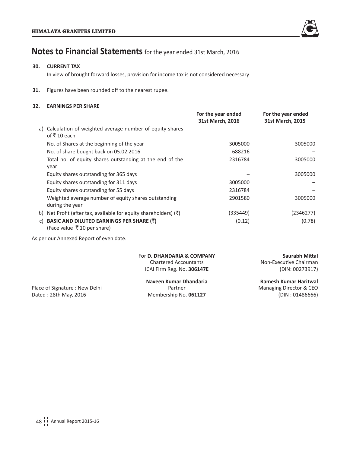

#### **30. CURRENT TAX**

In view of brought forward losses, provision for income tax is not considered necessary

**31.** Figures have been rounded off to the nearest rupee.

#### **32. EARNINGS PER SHARE**

|    |                                                                         | For the year ended<br>31st March, 2016 | For the year ended<br>31st March, 2015 |
|----|-------------------------------------------------------------------------|----------------------------------------|----------------------------------------|
| a) | Calculation of weighted average number of equity shares<br>of ₹10 each  |                                        |                                        |
|    | No. of Shares at the beginning of the year                              | 3005000                                | 3005000                                |
|    | No. of share bought back on 05.02.2016                                  | 688216                                 |                                        |
|    | Total no. of equity shares outstanding at the end of the<br>year        | 2316784                                | 3005000                                |
|    | Equity shares outstanding for 365 days                                  |                                        | 3005000                                |
|    | Equity shares outstanding for 311 days                                  | 3005000                                |                                        |
|    | Equity shares outstanding for 55 days                                   | 2316784                                |                                        |
|    | Weighted average number of equity shares outstanding<br>during the year | 2901580                                | 3005000                                |
| b) | Net Profit (after tax, available for equity shareholders) (₹)           | (335449)                               | (2346277)                              |
| C) | BASIC AND DILUTED EARNINGS PER SHARE (₹)                                | (0.12)                                 | (0.78)                                 |
|    | (Face value ₹10 per share)                                              |                                        |                                        |

As per our Annexed Report of even date.

|                                | For D. DHANDARIA & COMPANY   | Saurabh Mittal               |
|--------------------------------|------------------------------|------------------------------|
|                                | <b>Chartered Accountants</b> | Non-Executive Chairman       |
|                                | ICAI Firm Reg. No. 306147E   | (DIN: 00273917)              |
|                                | Naveen Kumar Dhandaria       | <b>Ramesh Kumar Haritwal</b> |
| Place of Signature : New Delhi | Partner                      | Managing Director & CEO      |
| Dated: 28th May, 2016          | Membership No. 061127        | (DIN: 01486666)              |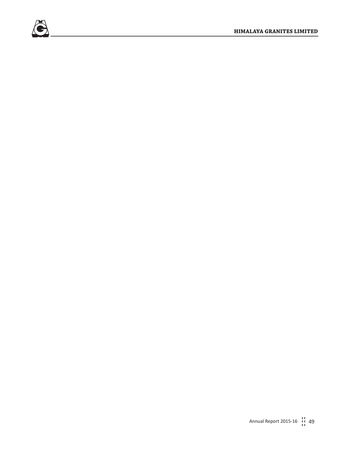